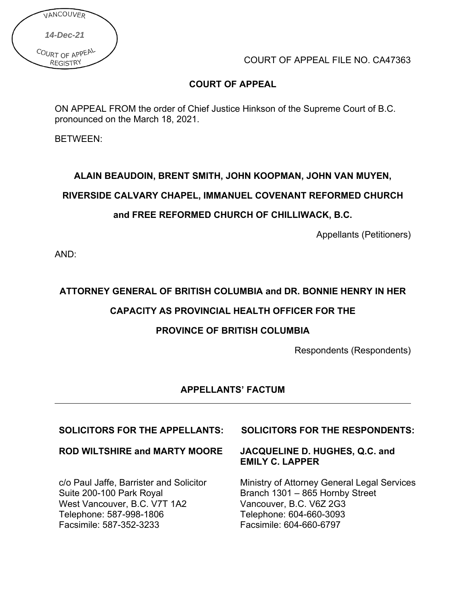| VANCOUVER                          |  |
|------------------------------------|--|
| 14-Dec-21                          |  |
| COURT OF APPEAL<br><b>REGISTRY</b> |  |

COURT OF APPEAL FILE NO. CA47363

## **COURT OF APPEAL**

ON APPEAL FROM the order of Chief Justice Hinkson of the Supreme Court of B.C. pronounced on the March 18, 2021.

BETWEEN:

# **ALAIN BEAUDOIN, BRENT SMITH, JOHN KOOPMAN, JOHN VAN MUYEN,**

#### **RIVERSIDE CALVARY CHAPEL, IMMANUEL COVENANT REFORMED CHURCH**

## **and FREE REFORMED CHURCH OF CHILLIWACK, B.C.**

Appellants (Petitioners)

AND:

## **ATTORNEY GENERAL OF BRITISH COLUMBIA and DR. BONNIE HENRY IN HER**

## **CAPACITY AS PROVINCIAL HEALTH OFFICER FOR THE**

## **PROVINCE OF BRITISH COLUMBIA**

Respondents (Respondents)

#### **APPELLANTS' FACTUM**

#### **ROD WILTSHIRE and MARTY MOORE**

c/o Paul Jaffe, Barrister and Solicitor Suite 200-100 Park Royal West Vancouver, B.C. V7T 1A2 Telephone: 587-998-1806 Facsimile: 587-352-3233

#### **SOLICITORS FOR THE APPELLANTS: SOLICITORS FOR THE RESPONDENTS:**

#### **JACQUELINE D. HUGHES, Q.C. and EMILY C. LAPPER**

Ministry of Attorney General Legal Services Branch 1301 – 865 Hornby Street Vancouver, B.C. V6Z 2G3 Telephone: 604-660-3093 Facsimile: 604-660-6797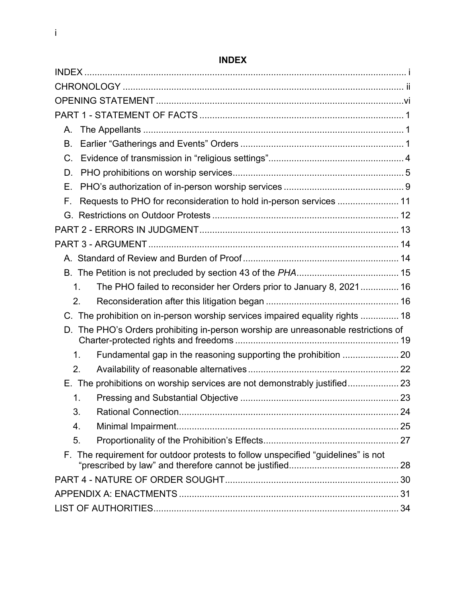<span id="page-1-0"></span>

| А.                                                                                     |  |
|----------------------------------------------------------------------------------------|--|
| В.                                                                                     |  |
| $C_{\cdot}$                                                                            |  |
| D.                                                                                     |  |
| Е.                                                                                     |  |
| Requests to PHO for reconsideration to hold in-person services  11<br>F.               |  |
|                                                                                        |  |
|                                                                                        |  |
|                                                                                        |  |
|                                                                                        |  |
|                                                                                        |  |
| The PHO failed to reconsider her Orders prior to January 8, 2021  16<br>1 <sub>1</sub> |  |
| 2.                                                                                     |  |
| C. The prohibition on in-person worship services impaired equality rights  18          |  |
| D. The PHO's Orders prohibiting in-person worship are unreasonable restrictions of     |  |
| Fundamental gap in the reasoning supporting the prohibition  20<br>1.                  |  |
| 2.                                                                                     |  |
| E. The prohibitions on worship services are not demonstrably justified 23              |  |
| $\mathbf 1$ .                                                                          |  |
| 3.                                                                                     |  |
| 4.                                                                                     |  |
| 5.                                                                                     |  |
| F. The requirement for outdoor protests to follow unspecified "guidelines" is not      |  |
|                                                                                        |  |
|                                                                                        |  |
|                                                                                        |  |

# **INDEX**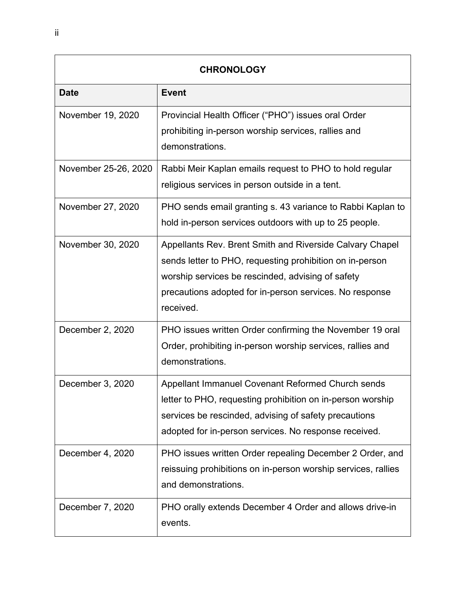<span id="page-2-0"></span>

| <b>CHRONOLOGY</b>    |                                                                                                                                                                                                                                                   |  |
|----------------------|---------------------------------------------------------------------------------------------------------------------------------------------------------------------------------------------------------------------------------------------------|--|
| <b>Date</b>          | <b>Event</b>                                                                                                                                                                                                                                      |  |
| November 19, 2020    | Provincial Health Officer ("PHO") issues oral Order<br>prohibiting in-person worship services, rallies and<br>demonstrations.                                                                                                                     |  |
| November 25-26, 2020 | Rabbi Meir Kaplan emails request to PHO to hold regular<br>religious services in person outside in a tent.                                                                                                                                        |  |
| November 27, 2020    | PHO sends email granting s. 43 variance to Rabbi Kaplan to<br>hold in-person services outdoors with up to 25 people.                                                                                                                              |  |
| November 30, 2020    | Appellants Rev. Brent Smith and Riverside Calvary Chapel<br>sends letter to PHO, requesting prohibition on in-person<br>worship services be rescinded, advising of safety<br>precautions adopted for in-person services. No response<br>received. |  |
| December 2, 2020     | PHO issues written Order confirming the November 19 oral<br>Order, prohibiting in-person worship services, rallies and<br>demonstrations.                                                                                                         |  |
| December 3, 2020     | Appellant Immanuel Covenant Reformed Church sends<br>letter to PHO, requesting prohibition on in-person worship<br>services be rescinded, advising of safety precautions<br>adopted for in-person services. No response received.                 |  |
| December 4, 2020     | PHO issues written Order repealing December 2 Order, and<br>reissuing prohibitions on in-person worship services, rallies<br>and demonstrations.                                                                                                  |  |
| December 7, 2020     | PHO orally extends December 4 Order and allows drive-in<br>events.                                                                                                                                                                                |  |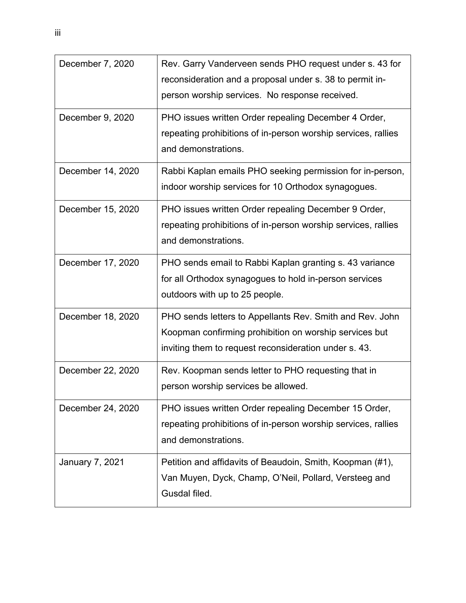| December 7, 2020       | Rev. Garry Vanderveen sends PHO request under s. 43 for<br>reconsideration and a proposal under s. 38 to permit in-<br>person worship services. No response received.       |
|------------------------|-----------------------------------------------------------------------------------------------------------------------------------------------------------------------------|
| December 9, 2020       | PHO issues written Order repealing December 4 Order,<br>repeating prohibitions of in-person worship services, rallies<br>and demonstrations.                                |
| December 14, 2020      | Rabbi Kaplan emails PHO seeking permission for in-person,<br>indoor worship services for 10 Orthodox synagogues.                                                            |
| December 15, 2020      | PHO issues written Order repealing December 9 Order,<br>repeating prohibitions of in-person worship services, rallies<br>and demonstrations.                                |
| December 17, 2020      | PHO sends email to Rabbi Kaplan granting s. 43 variance<br>for all Orthodox synagogues to hold in-person services<br>outdoors with up to 25 people.                         |
| December 18, 2020      | PHO sends letters to Appellants Rev. Smith and Rev. John<br>Koopman confirming prohibition on worship services but<br>inviting them to request reconsideration under s. 43. |
| December 22, 2020      | Rev. Koopman sends letter to PHO requesting that in<br>person worship services be allowed.                                                                                  |
| December 24, 2020      | PHO issues written Order repealing December 15 Order,<br>repeating prohibitions of in-person worship services, rallies<br>and demonstrations.                               |
| <b>January 7, 2021</b> | Petition and affidavits of Beaudoin, Smith, Koopman (#1),<br>Van Muyen, Dyck, Champ, O'Neil, Pollard, Versteeg and<br>Gusdal filed.                                         |

iii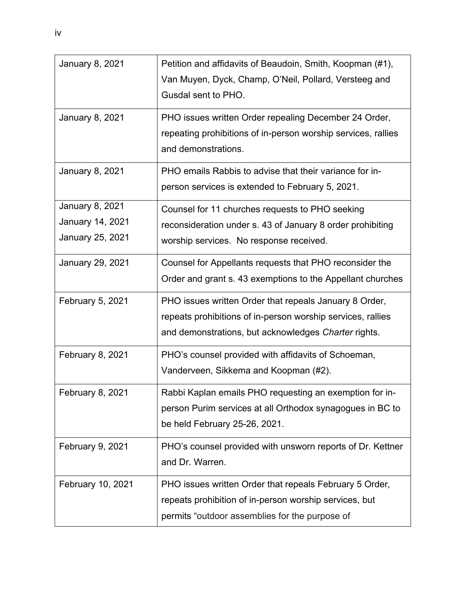| <b>January 8, 2021</b>                                                | Petition and affidavits of Beaudoin, Smith, Koopman (#1),<br>Van Muyen, Dyck, Champ, O'Neil, Pollard, Versteeg and<br>Gusdal sent to PHO.                                     |
|-----------------------------------------------------------------------|-------------------------------------------------------------------------------------------------------------------------------------------------------------------------------|
| <b>January 8, 2021</b>                                                | PHO issues written Order repealing December 24 Order,<br>repeating prohibitions of in-person worship services, rallies<br>and demonstrations.                                 |
| <b>January 8, 2021</b>                                                | PHO emails Rabbis to advise that their variance for in-<br>person services is extended to February 5, 2021.                                                                   |
| <b>January 8, 2021</b><br><b>January 14, 2021</b><br>January 25, 2021 | Counsel for 11 churches requests to PHO seeking<br>reconsideration under s. 43 of January 8 order prohibiting<br>worship services. No response received.                      |
| January 29, 2021                                                      | Counsel for Appellants requests that PHO reconsider the<br>Order and grant s. 43 exemptions to the Appellant churches                                                         |
| <b>February 5, 2021</b>                                               | PHO issues written Order that repeals January 8 Order,<br>repeats prohibitions of in-person worship services, rallies<br>and demonstrations, but acknowledges Charter rights. |
| <b>February 8, 2021</b>                                               | PHO's counsel provided with affidavits of Schoeman,<br>Vanderveen, Sikkema and Koopman (#2).                                                                                  |
| <b>February 8, 2021</b>                                               | Rabbi Kaplan emails PHO requesting an exemption for in-<br>person Purim services at all Orthodox synagogues in BC to<br>be held February 25-26, 2021.                         |
| <b>February 9, 2021</b>                                               | PHO's counsel provided with unsworn reports of Dr. Kettner<br>and Dr. Warren.                                                                                                 |
| February 10, 2021                                                     | PHO issues written Order that repeals February 5 Order,<br>repeats prohibition of in-person worship services, but<br>permits "outdoor assemblies for the purpose of           |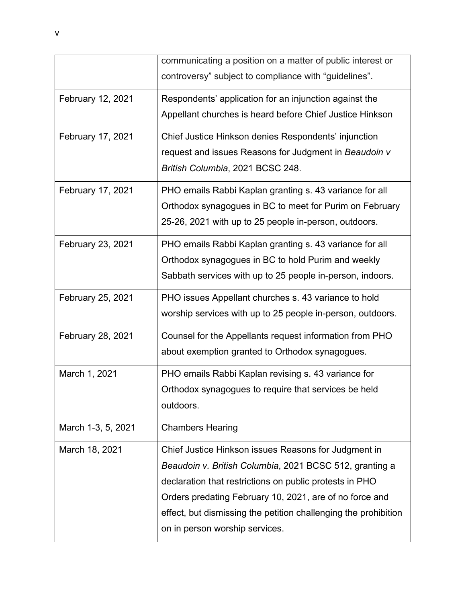|                          | communicating a position on a matter of public interest or<br>controversy" subject to compliance with "guidelines".                                                                                                                                                                                                                        |
|--------------------------|--------------------------------------------------------------------------------------------------------------------------------------------------------------------------------------------------------------------------------------------------------------------------------------------------------------------------------------------|
| February 12, 2021        | Respondents' application for an injunction against the<br>Appellant churches is heard before Chief Justice Hinkson                                                                                                                                                                                                                         |
| February 17, 2021        | Chief Justice Hinkson denies Respondents' injunction<br>request and issues Reasons for Judgment in Beaudoin v<br>British Columbia, 2021 BCSC 248.                                                                                                                                                                                          |
| February 17, 2021        | PHO emails Rabbi Kaplan granting s. 43 variance for all<br>Orthodox synagogues in BC to meet for Purim on February<br>25-26, 2021 with up to 25 people in-person, outdoors.                                                                                                                                                                |
| <b>February 23, 2021</b> | PHO emails Rabbi Kaplan granting s. 43 variance for all<br>Orthodox synagogues in BC to hold Purim and weekly<br>Sabbath services with up to 25 people in-person, indoors.                                                                                                                                                                 |
| February 25, 2021        | PHO issues Appellant churches s. 43 variance to hold<br>worship services with up to 25 people in-person, outdoors.                                                                                                                                                                                                                         |
| February 28, 2021        | Counsel for the Appellants request information from PHO<br>about exemption granted to Orthodox synagogues.                                                                                                                                                                                                                                 |
| March 1, 2021            | PHO emails Rabbi Kaplan revising s. 43 variance for<br>Orthodox synagogues to require that services be held<br>outdoors.                                                                                                                                                                                                                   |
| March 1-3, 5, 2021       | <b>Chambers Hearing</b>                                                                                                                                                                                                                                                                                                                    |
| March 18, 2021           | Chief Justice Hinkson issues Reasons for Judgment in<br>Beaudoin v. British Columbia, 2021 BCSC 512, granting a<br>declaration that restrictions on public protests in PHO<br>Orders predating February 10, 2021, are of no force and<br>effect, but dismissing the petition challenging the prohibition<br>on in person worship services. |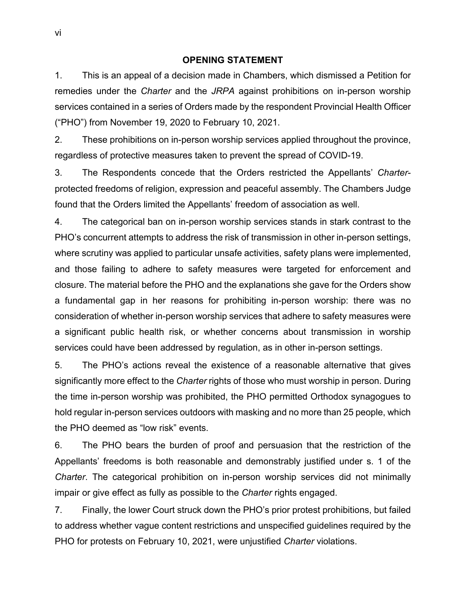#### **OPENING STATEMENT**

<span id="page-6-0"></span>1. This is an appeal of a decision made in Chambers, which dismissed a Petition for remedies under the *Charter* and the *JRPA* against prohibitions on in-person worship services contained in a series of Orders made by the respondent Provincial Health Officer ("PHO") from November 19, 2020 to February 10, 2021.

2. These prohibitions on in-person worship services applied throughout the province, regardless of protective measures taken to prevent the spread of COVID-19.

3. The Respondents concede that the Orders restricted the Appellants' *Charter*protected freedoms of religion, expression and peaceful assembly. The Chambers Judge found that the Orders limited the Appellants' freedom of association as well.

4. The categorical ban on in-person worship services stands in stark contrast to the PHO's concurrent attempts to address the risk of transmission in other in-person settings, where scrutiny was applied to particular unsafe activities, safety plans were implemented, and those failing to adhere to safety measures were targeted for enforcement and closure. The material before the PHO and the explanations she gave for the Orders show a fundamental gap in her reasons for prohibiting in-person worship: there was no consideration of whether in-person worship services that adhere to safety measures were a significant public health risk, or whether concerns about transmission in worship services could have been addressed by regulation, as in other in-person settings.

5. The PHO's actions reveal the existence of a reasonable alternative that gives significantly more effect to the *Charter* rights of those who must worship in person. During the time in-person worship was prohibited, the PHO permitted Orthodox synagogues to hold regular in-person services outdoors with masking and no more than 25 people, which the PHO deemed as "low risk" events.

6. The PHO bears the burden of proof and persuasion that the restriction of the Appellants' freedoms is both reasonable and demonstrably justified under s. 1 of the *Charter*. The categorical prohibition on in-person worship services did not minimally impair or give effect as fully as possible to the *Charter* rights engaged.

7. Finally, the lower Court struck down the PHO's prior protest prohibitions, but failed to address whether vague content restrictions and unspecified guidelines required by the PHO for protests on February 10, 2021, were unjustified *Charter* violations.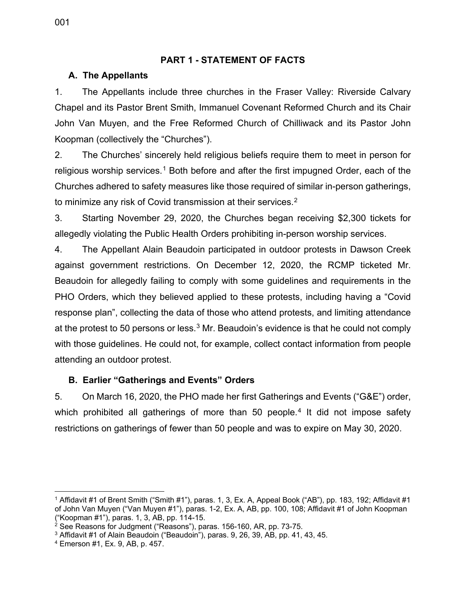#### **PART 1 - STATEMENT OF FACTS**

#### <span id="page-7-1"></span><span id="page-7-0"></span>**A. The Appellants**

1. The Appellants include three churches in the Fraser Valley: Riverside Calvary Chapel and its Pastor Brent Smith, Immanuel Covenant Reformed Church and its Chair John Van Muyen, and the Free Reformed Church of Chilliwack and its Pastor John Koopman (collectively the "Churches").

2. The Churches' sincerely held religious beliefs require them to meet in person for religious worship services.<sup>[1](#page-7-3)</sup> Both before and after the first impugned Order, each of the Churches adhered to safety measures like those required of similar in-person gatherings, to minimize any risk of Covid transmission at their services.<sup>[2](#page-7-4)</sup>

3. Starting November 29, 2020, the Churches began receiving \$2,300 tickets for allegedly violating the Public Health Orders prohibiting in-person worship services.

4. The Appellant Alain Beaudoin participated in outdoor protests in Dawson Creek against government restrictions. On December 12, 2020, the RCMP ticketed Mr. Beaudoin for allegedly failing to comply with some guidelines and requirements in the PHO Orders, which they believed applied to these protests, including having a "Covid response plan", collecting the data of those who attend protests, and limiting attendance at the protest to 50 persons or less. $3$  Mr. Beaudoin's evidence is that he could not comply with those guidelines. He could not, for example, collect contact information from people attending an outdoor protest.

## <span id="page-7-2"></span>**B. Earlier "Gatherings and Events" Orders**

5. On March 16, 2020, the PHO made her first Gatherings and Events ("G&E") order, which prohibited all gatherings of more than 50 people.<sup>[4](#page-7-6)</sup> It did not impose safety restrictions on gatherings of fewer than 50 people and was to expire on May 30, 2020.

<span id="page-7-3"></span><sup>1</sup> Affidavit #1 of Brent Smith ("Smith #1"), paras. 1, 3, Ex. A, Appeal Book ("AB"), pp. 183, 192; Affidavit #1 of John Van Muyen ("Van Muyen #1"), paras. 1-2, Ex. A, AB, pp. 100, 108; Affidavit #1 of John Koopman ("Koopman #1"), paras. 1, 3, AB, pp. 114-15.<br><sup>2</sup> See Reasons for Judgment ("Reasons"), paras. 156-160, AR, pp. 73-75.

<span id="page-7-5"></span><span id="page-7-4"></span><sup>&</sup>lt;sup>3</sup> Affidavit #1 of Alain Beaudoin ("Beaudoin"), paras. 9, 26, 39, AB, pp. 41, 43, 45.

<span id="page-7-6"></span><sup>4</sup> Emerson #1, Ex. 9, AB, p. 457.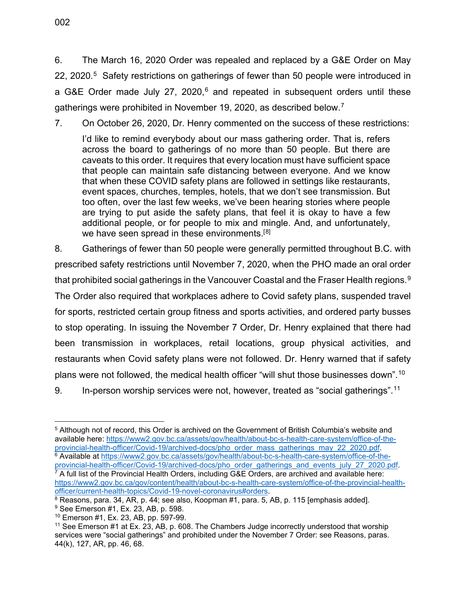6. The March 16, 2020 Order was repealed and replaced by a G&E Order on May 22, 2020.<sup>[5](#page-8-0)</sup> Safety restrictions on gatherings of fewer than 50 people were introduced in a G&E Order made July 27, 2020,<sup>[6](#page-8-1)</sup> and repeated in subsequent orders until these gatherings were prohibited in November 19, 2020, as described below.<sup>[7](#page-8-2)</sup>

7. On October 26, 2020, Dr. Henry commented on the success of these restrictions:

I'd like to remind everybody about our mass gathering order. That is, refers across the board to gatherings of no more than 50 people. But there are caveats to this order. It requires that every location must have sufficient space that people can maintain safe distancing between everyone. And we know that when these COVID safety plans are followed in settings like restaurants, event spaces, churches, temples, hotels, that we don't see transmission. But too often, over the last few weeks, we've been hearing stories where people are trying to put aside the safety plans, that feel it is okay to have a few additional people, or for people to mix and mingle. And, and unfortunately, we have seen spread in these environments.<sup>[[8](#page-8-3)]</sup>

8. Gatherings of fewer than 50 people were generally permitted throughout B.C. with prescribed safety restrictions until November 7, 2020, when the PHO made an oral order that prohibited social gatherings in the Vancouver Coastal and the Fraser Health regions. [9](#page-8-4) The Order also required that workplaces adhere to Covid safety plans, suspended travel for sports, restricted certain group fitness and sports activities, and ordered party busses to stop operating. In issuing the November 7 Order, Dr. Henry explained that there had been transmission in workplaces, retail locations, group physical activities, and restaurants when Covid safety plans were not followed. Dr. Henry warned that if safety plans were not followed, the medical health officer "will shut those businesses down".[10](#page-8-5)

<sup>9.</sup> In-person worship services were not, however, treated as "social gatherings".<sup>[11](#page-8-6)</sup>

<span id="page-8-0"></span><sup>5</sup> Although not of record, this Order is archived on the Government of British Columbia's website and available here: https://www2.gov.bc.ca/assets/gov/health/about-bc-s-health-care-system/office-of-the-<br>provincial-health-officer/Covid-19/archived-docs/pho order mass gatherings may 22 2020.pdf.

<span id="page-8-2"></span><span id="page-8-1"></span><sup>&</sup>lt;sup>6</sup> Available at https://www2.gov.bc.ca/assets/gov/health/about-bc-s-health-care-system/office-of-the-<br>provincial-health-officer/Covid-19/archived-docs/pho\_order\_gatherings\_and\_events\_july\_27\_2020.pdf.  $\overline{7}$  A full list of the Provincial Health Orders, including G&E Orders, are archived and available here: https://www2.gov.bc.ca/gov/content/health/about-bc-s-health-care-system/office-of-the-provincial-health-<br>officer/current-health-topics/Covid-19-novel-coronavirus#orders

<span id="page-8-3"></span> $\frac{8}{3}$  Reasons, para. 34, AR, p. 44; see also, Koopman #1, para. 5, AB, p. 115 [emphasis added].  $\frac{9}{3}$  See Emerson #1, Ex. 23, AB, p. 598.

<span id="page-8-6"></span><span id="page-8-5"></span><span id="page-8-4"></span> $^{10}$  Emerson #1, Ex. 23, AB, pp. 597-99.<br><sup>11</sup> See Emerson #1 at Ex. 23, AB, p. 608. The Chambers Judge incorrectly understood that worship services were "social gatherings" and prohibited under the November 7 Order: see Reasons, paras. 44(k), 127, AR, pp. 46, 68.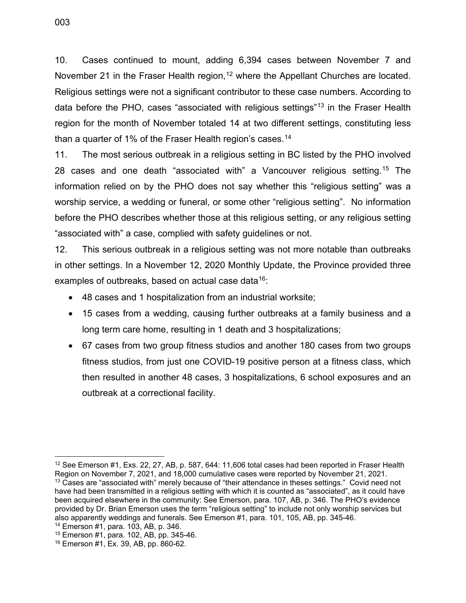10. Cases continued to mount, adding 6,394 cases between November 7 and November 21 in the Fraser Health region, [12](#page-9-0) where the Appellant Churches are located. Religious settings were not a significant contributor to these case numbers. According to data before the PHO, cases "associated with religious settings"[13](#page-9-1) in the Fraser Health region for the month of November totaled 14 at two different settings, constituting less than a quarter of 1% of the Fraser Health region's cases.<sup>[14](#page-9-2)</sup>

11. The most serious outbreak in a religious setting in BC listed by the PHO involved 28 cases and one death "associated with" a Vancouver religious setting. [15](#page-9-3) The information relied on by the PHO does not say whether this "religious setting" was a worship service, a wedding or funeral, or some other "religious setting". No information before the PHO describes whether those at this religious setting, or any religious setting "associated with" a case, complied with safety guidelines or not.

12. This serious outbreak in a religious setting was not more notable than outbreaks in other settings. In a November 12, 2020 Monthly Update, the Province provided three examples of outbreaks, based on actual case data<sup>16</sup>:

- 48 cases and 1 hospitalization from an industrial worksite;
- 15 cases from a wedding, causing further outbreaks at a family business and a long term care home, resulting in 1 death and 3 hospitalizations;
- 67 cases from two group fitness studios and another 180 cases from two groups fitness studios, from just one COVID-19 positive person at a fitness class, which then resulted in another 48 cases, 3 hospitalizations, 6 school exposures and an outbreak at a correctional facility.

<span id="page-9-0"></span><sup>12</sup> See Emerson #1, Exs. 22, 27, AB, p. 587, 644: 11,606 total cases had been reported in Fraser Health Region on November 7, 2021, and 18,000 cumulative cases were reported by November 21, 2021. <sup>13</sup> Cases are "associated with" merely because of "their attendance in theses settings." Covid need not

<span id="page-9-1"></span>have had been transmitted in a religious setting with which it is counted as "associated", as it could have been acquired elsewhere in the community: See Emerson, para. 107, AB, p. 346. The PHO's evidence provided by Dr. Brian Emerson uses the term "religious setting" to include not only worship services but also apparently weddings and funerals. See Emerson #1, para. 101, 105, AB, pp. 345-46.

<span id="page-9-4"></span><span id="page-9-3"></span><span id="page-9-2"></span><sup>&</sup>lt;sup>15</sup> Emerson #1, para. 102, AB, pp. 345-46.<br><sup>16</sup> Emerson #1, Ex. 39, AB, pp. 860-62.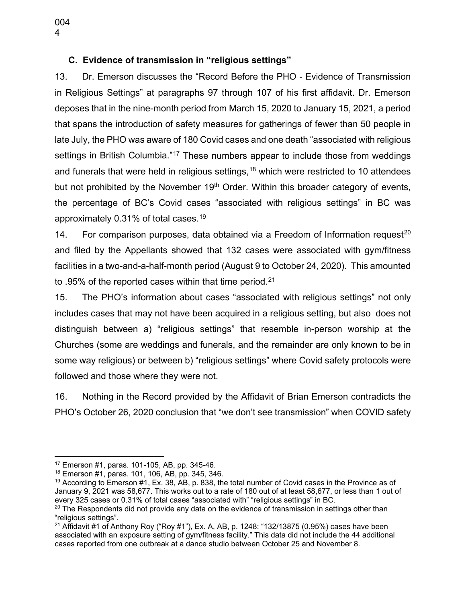<span id="page-10-0"></span>13. Dr. Emerson discusses the "Record Before the PHO - Evidence of Transmission in Religious Settings" at paragraphs 97 through 107 of his first affidavit. Dr. Emerson deposes that in the nine-month period from March 15, 2020 to January 15, 2021, a period that spans the introduction of safety measures for gatherings of fewer than 50 people in late July, the PHO was aware of 180 Covid cases and one death "associated with religious settings in British Columbia."<sup>[17](#page-10-1)</sup> These numbers appear to include those from weddings and funerals that were held in religious settings,<sup>[18](#page-10-2)</sup> which were restricted to 10 attendees but not prohibited by the November  $19<sup>th</sup>$  Order. Within this broader category of events, the percentage of BC's Covid cases "associated with religious settings" in BC was approximately 0.31% of total cases.[19](#page-10-3)

14. For comparison purposes, data obtained via a Freedom of Information request<sup>[20](#page-10-4)</sup> and filed by the Appellants showed that 132 cases were associated with gym/fitness facilities in a two-and-a-half-month period (August 9 to October 24, 2020). This amounted to .95% of the reported cases within that time period.<sup>[21](#page-10-5)</sup>

15. The PHO's information about cases "associated with religious settings" not only includes cases that may not have been acquired in a religious setting, but also does not distinguish between a) "religious settings" that resemble in-person worship at the Churches (some are weddings and funerals, and the remainder are only known to be in some way religious) or between b) "religious settings" where Covid safety protocols were followed and those where they were not.

16. Nothing in the Record provided by the Affidavit of Brian Emerson contradicts the PHO's October 26, 2020 conclusion that "we don't see transmission" when COVID safety

<span id="page-10-1"></span><sup>&</sup>lt;sup>17</sup> Emerson #1, paras. 101-105, AB, pp. 345-46.<br><sup>18</sup> Emerson #1, paras. 101, 106, AB, pp. 345, 346.

<span id="page-10-3"></span><span id="page-10-2"></span> $19$  According to Emerson #1, Ex. 38, AB, p. 838, the total number of Covid cases in the Province as of January 9, 2021 was 58,677. This works out to a rate of 180 out of at least 58,677, or less than 1 out of every 325 cases or 0.31% of total cases "associated with" "religious settings" in BC.

<span id="page-10-4"></span> $20$  The Respondents did not provide any data on the evidence of transmission in settings other than "religious settings".

<span id="page-10-5"></span><sup>&</sup>lt;sup>21</sup> Affidavit #1 of Anthony Roy ("Roy #1"), Ex. A, AB, p. 1248: "132/13875 (0.95%) cases have been associated with an exposure setting of gym/fitness facility." This data did not include the 44 additional cases reported from one outbreak at a dance studio between October 25 and November 8.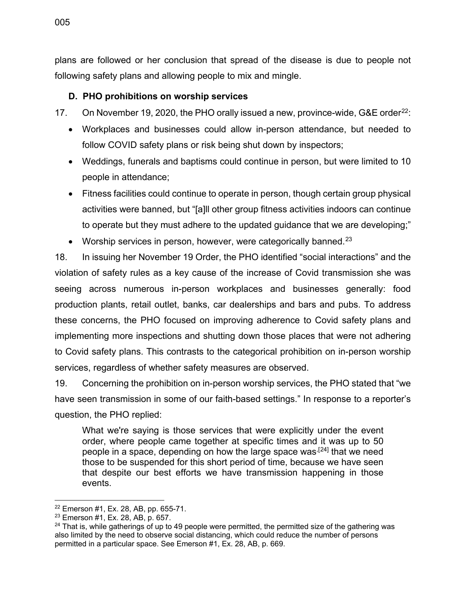plans are followed or her conclusion that spread of the disease is due to people not following safety plans and allowing people to mix and mingle.

#### <span id="page-11-0"></span>**D. PHO prohibitions on worship services**

17. On November 19, 2020, the PHO orally issued a new, province-wide, G&E order<sup>22</sup>:

- Workplaces and businesses could allow in-person attendance, but needed to follow COVID safety plans or risk being shut down by inspectors;
- Weddings, funerals and baptisms could continue in person, but were limited to 10 people in attendance;
- Fitness facilities could continue to operate in person, though certain group physical activities were banned, but "[a]ll other group fitness activities indoors can continue to operate but they must adhere to the updated guidance that we are developing;"
- Worship services in person, however, were categorically banned.<sup>[23](#page-11-2)</sup>

18. In issuing her November 19 Order, the PHO identified "social interactions" and the violation of safety rules as a key cause of the increase of Covid transmission she was seeing across numerous in-person workplaces and businesses generally: food production plants, retail outlet, banks, car dealerships and bars and pubs. To address these concerns, the PHO focused on improving adherence to Covid safety plans and implementing more inspections and shutting down those places that were not adhering to Covid safety plans. This contrasts to the categorical prohibition on in-person worship services, regardless of whether safety measures are observed.

19. Concerning the prohibition on in-person worship services, the PHO stated that "we have seen transmission in some of our faith-based settings." In response to a reporter's question, the PHO replied:

What we're saying is those services that were explicitly under the event order, where people came together at specific times and it was up to 50 people in a space, depending on how the large space was<sup>[[24\]](#page-11-3)</sup> that we need those to be suspended for this short period of time, because we have seen that despite our best efforts we have transmission happening in those events.

<span id="page-11-1"></span><sup>22</sup> Emerson #1, Ex. 28, AB, pp. 655-71.

<span id="page-11-2"></span><sup>23</sup> Emerson #1, Ex. 28, AB, p. 657.

<span id="page-11-3"></span> $24$  That is, while gatherings of up to 49 people were permitted, the permitted size of the gathering was also limited by the need to observe social distancing, which could reduce the number of persons permitted in a particular space. See Emerson #1, Ex. 28, AB, p. 669.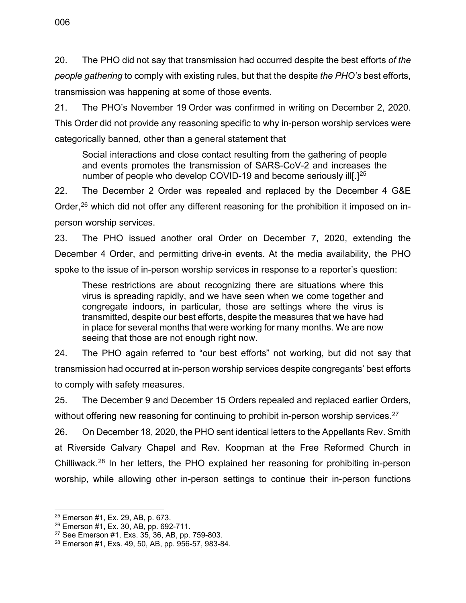21. The PHO's November 19 Order was confirmed in writing on December 2, 2020. This Order did not provide any reasoning specific to why in-person worship services were categorically banned, other than a general statement that

Social interactions and close contact resulting from the gathering of people and events promotes the transmission of SARS-CoV-2 and increases the number of people who develop COVID-19 and become seriously ill[.]<sup>25</sup>

22. The December 2 Order was repealed and replaced by the December 4 G&E Order,<sup>[26](#page-12-1)</sup> which did not offer any different reasoning for the prohibition it imposed on inperson worship services.

23. The PHO issued another oral Order on December 7, 2020, extending the December 4 Order, and permitting drive-in events. At the media availability, the PHO spoke to the issue of in-person worship services in response to a reporter's question:

These restrictions are about recognizing there are situations where this virus is spreading rapidly, and we have seen when we come together and congregate indoors, in particular, those are settings where the virus is transmitted, despite our best efforts, despite the measures that we have had in place for several months that were working for many months. We are now seeing that those are not enough right now.

24. The PHO again referred to "our best efforts" not working, but did not say that transmission had occurred at in-person worship services despite congregants' best efforts to comply with safety measures.

25. The December 9 and December 15 Orders repealed and replaced earlier Orders, without offering new reasoning for continuing to prohibit in-person worship services.<sup>[27](#page-12-2)</sup>

26. On December 18, 2020, the PHO sent identical letters to the Appellants Rev. Smith at Riverside Calvary Chapel and Rev. Koopman at the Free Reformed Church in Chilliwack.<sup>[28](#page-12-3)</sup> In her letters, the PHO explained her reasoning for prohibiting in-person worship, while allowing other in-person settings to continue their in-person functions

<span id="page-12-0"></span> $25$  Emerson #1, Ex. 29, AB, p. 673.<br> $26$  Emerson #1, Ex. 30, AB, pp. 692-711.

<span id="page-12-2"></span><span id="page-12-1"></span> $27$  See Emerson #1, Exs. 35, 36, AB, pp. 759-803.

<span id="page-12-3"></span><sup>28</sup> Emerson #1, Exs. 49, 50, AB, pp. 956-57, 983-84.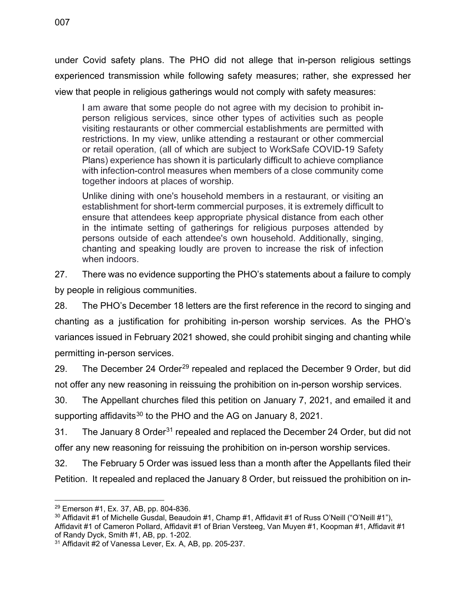under Covid safety plans. The PHO did not allege that in-person religious settings experienced transmission while following safety measures; rather, she expressed her view that people in religious gatherings would not comply with safety measures:

I am aware that some people do not agree with my decision to prohibit inperson religious services, since other types of activities such as people visiting restaurants or other commercial establishments are permitted with restrictions. In my view, unlike attending a restaurant or other commercial or retail operation, (all of which are subject to WorkSafe COVID-19 Safety Plans) experience has shown it is particularly difficult to achieve compliance with infection-control measures when members of a close community come together indoors at places of worship.

Unlike dining with one's household members in a restaurant, or visiting an establishment for short-term commercial purposes, it is extremely difficult to ensure that attendees keep appropriate physical distance from each other in the intimate setting of gatherings for religious purposes attended by persons outside of each attendee's own household. Additionally, singing, chanting and speaking loudly are proven to increase the risk of infection when indoors.

27. There was no evidence supporting the PHO's statements about a failure to comply by people in religious communities.

28. The PHO's December 18 letters are the first reference in the record to singing and chanting as a justification for prohibiting in-person worship services. As the PHO's variances issued in February 2021 showed, she could prohibit singing and chanting while permitting in-person services.

[29](#page-13-0). The December 24 Order<sup>29</sup> repealed and replaced the December 9 Order, but did not offer any new reasoning in reissuing the prohibition on in-person worship services.

30. The Appellant churches filed this petition on January 7, 2021, and emailed it and supporting affidavits<sup>[30](#page-13-1)</sup> to the PHO and the AG on January 8, 2021.

[31](#page-13-2). The January 8 Order<sup>31</sup> repealed and replaced the December 24 Order, but did not offer any new reasoning for reissuing the prohibition on in-person worship services.

32. The February 5 Order was issued less than a month after the Appellants filed their Petition. It repealed and replaced the January 8 Order, but reissued the prohibition on in-

<span id="page-13-1"></span><span id="page-13-0"></span> $^{29}$  Emerson #1, Ex. 37, AB, pp. 804-836.<br> $^{30}$  Affidavit #1 of Michelle Gusdal, Beaudoin #1, Champ #1, Affidavit #1 of Russ O'Neill ("O'Neill #1"), Affidavit #1 of Cameron Pollard, Affidavit #1 of Brian Versteeg, Van Muyen #1, Koopman #1, Affidavit #1 of Randy Dyck, Smith #1, AB, pp. 1-202.

<span id="page-13-2"></span><sup>31</sup> Affidavit #2 of Vanessa Lever, Ex. A, AB, pp. 205-237.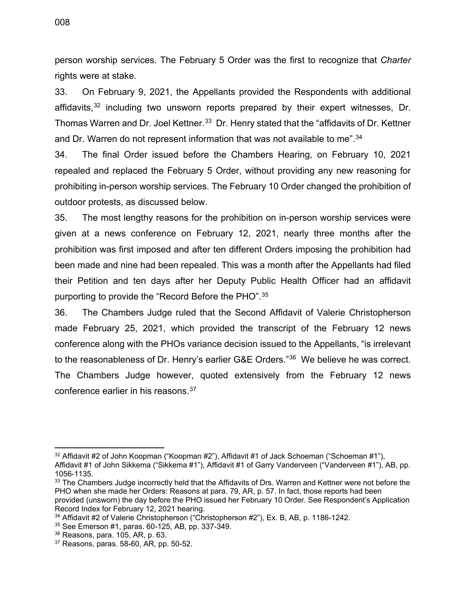person worship services. The February 5 Order was the first to recognize that *Charter*  rights were at stake.

33. On February 9, 2021, the Appellants provided the Respondents with additional affidavits,  $32$  including two unsworn reports prepared by their expert witnesses, Dr. Thomas Warren and Dr. Joel Kettner.<sup>[33](#page-14-1)</sup> Dr. Henry stated that the "affidavits of Dr. Kettner and Dr. Warren do not represent information that was not available to me".<sup>[34](#page-14-2)</sup>

34. The final Order issued before the Chambers Hearing, on February 10, 2021 repealed and replaced the February 5 Order, without providing any new reasoning for prohibiting in-person worship services. The February 10 Order changed the prohibition of outdoor protests, as discussed below.

35. The most lengthy reasons for the prohibition on in-person worship services were given at a news conference on February 12, 2021, nearly three months after the prohibition was first imposed and after ten different Orders imposing the prohibition had been made and nine had been repealed. This was a month after the Appellants had filed their Petition and ten days after her Deputy Public Health Officer had an affidavit purporting to provide the "Record Before the PHO".[35](#page-14-3)

36. The Chambers Judge ruled that the Second Affidavit of Valerie Christopherson made February 25, 2021, which provided the transcript of the February 12 news conference along with the PHOs variance decision issued to the Appellants, "is irrelevant to the reasonableness of Dr. Henry's earlier G&E Orders."[36](#page-14-4) We believe he was correct. The Chambers Judge however, quoted extensively from the February 12 news conference earlier in his reasons.<sup>[37](#page-14-5)</sup>

<span id="page-14-0"></span> $32$  Affidavit #2 of John Koopman ("Koopman #2"), Affidavit #1 of Jack Schoeman ("Schoeman #1"), Affidavit #1 of John Sikkema ("Sikkema #1"), Affidavit #1 of Garry Vanderveen ("Vanderveen #1"), AB, pp. 1056-1135.<br> $33$  The Chambers Judge incorrectly held that the Affidavits of Drs. Warren and Kettner were not before the

<span id="page-14-1"></span>PHO when she made her Orders: Reasons at para. 79, AR, p. 57. In fact, those reports had been provided (unsworn) the day before the PHO issued her February 10 Order. See Respondent's Application Record Index for February 12, 2021 hearing.

<span id="page-14-2"></span><sup>&</sup>lt;sup>34</sup> Affidavit #2 of Valerie Christopherson ("Christopherson #2"), Ex. B, AB, p. 1186-1242.<br><sup>35</sup> See Emerson #1, paras. 60-125, AB, pp. 337-349.<br><sup>36</sup> Reasons, para. 105, AR, p. 63. <sup>37</sup> Reasons, paras. 58-60, AR, pp. 50-5

<span id="page-14-3"></span>

<span id="page-14-4"></span>

<span id="page-14-5"></span>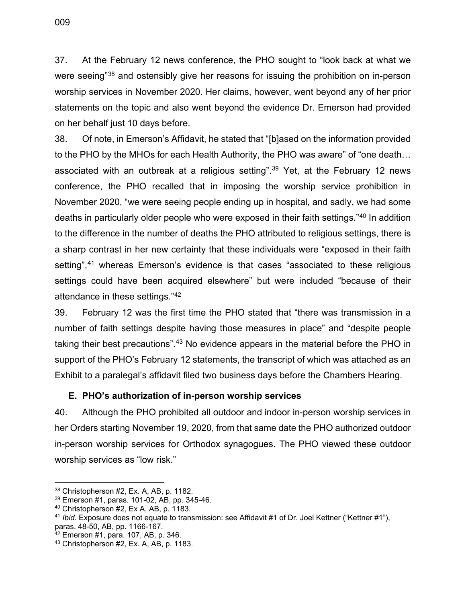37. At the February 12 news conference, the PHO sought to "look back at what we were seeing<sup>"[38](#page-15-1)</sup> and ostensibly give her reasons for issuing the prohibition on in-person worship services in November 2020. Her claims, however, went beyond any of her prior statements on the topic and also went beyond the evidence Dr. Emerson had provided on her behalf just 10 days before.

38. Of note, in Emerson's Affidavit, he stated that "[b]ased on the information provided to the PHO by the MHOs for each Health Authority, the PHO was aware" of "one death… associated with an outbreak at a religious setting".<sup>39</sup> Yet, at the February 12 news conference, the PHO recalled that in imposing the worship service prohibition in November 2020, "we were seeing people ending up in hospital, and sadly, we had some deaths in particularly older people who were exposed in their faith settings."[40](#page-15-3) In addition to the difference in the number of deaths the PHO attributed to religious settings, there is a sharp contrast in her new certainty that these individuals were "exposed in their faith setting",<sup>[41](#page-15-4)</sup> whereas Emerson's evidence is that cases "associated to these religious settings could have been acquired elsewhere" but were included "because of their attendance in these settings."[42](#page-15-5)

39. February 12 was the first time the PHO stated that "there was transmission in a number of faith settings despite having those measures in place" and "despite people taking their best precautions".<sup>[43](#page-15-6)</sup> No evidence appears in the material before the PHO in support of the PHO's February 12 statements, the transcript of which was attached as an Exhibit to a paralegal's affidavit filed two business days before the Chambers Hearing.

#### <span id="page-15-0"></span>**E. PHO's authorization of in-person worship services**

40. Although the PHO prohibited all outdoor and indoor in-person worship services in her Orders starting November 19, 2020, from that same date the PHO authorized outdoor in-person worship services for Orthodox synagogues. The PHO viewed these outdoor worship services as "low risk."

<span id="page-15-2"></span><span id="page-15-1"></span><sup>&</sup>lt;sup>38</sup> Christopherson #2, Ex. A, AB, p. 1182.<br><sup>39</sup> Emerson #1, paras. 101-02, AB, pp. 345-46.<br><sup>40</sup> Christopherson #2, Ex A, AB, p. 1183.

<span id="page-15-4"></span><span id="page-15-3"></span><sup>&</sup>lt;sup>41</sup> Ibid. Exposure does not equate to transmission: see Affidavit #1 of Dr. Joel Kettner ("Kettner #1"), paras. 48-50, AB, pp. 1166-167.<br><sup>42</sup> Emerson #1, para. 107, AB, p. 346.<br><sup>43</sup> Christopherson #2, Ex. A, AB, p. 1183.

<span id="page-15-5"></span>

<span id="page-15-6"></span>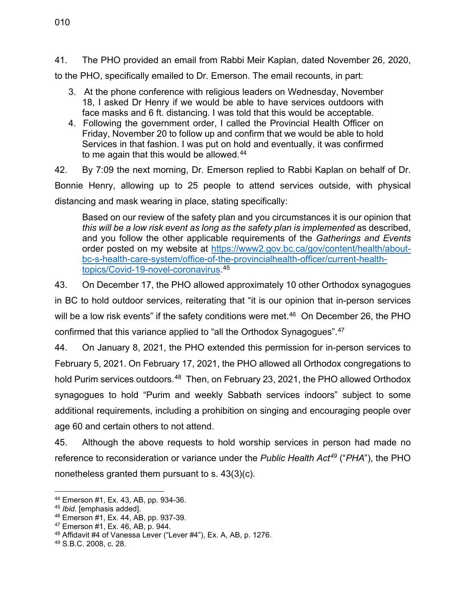41. The PHO provided an email from Rabbi Meir Kaplan, dated November 26, 2020,

to the PHO, specifically emailed to Dr. Emerson. The email recounts, in part:

- 3. At the phone conference with religious leaders on Wednesday, November 18, I asked Dr Henry if we would be able to have services outdoors with face masks and 6 ft. distancing. I was told that this would be acceptable.
- 4. Following the government order, I called the Provincial Health Officer on Friday, November 20 to follow up and confirm that we would be able to hold Services in that fashion. I was put on hold and eventually, it was confirmed to me again that this would be allowed.<sup>[44](#page-16-0)</sup>

42. By 7:09 the next morning, Dr. Emerson replied to Rabbi Kaplan on behalf of Dr. Bonnie Henry, allowing up to 25 people to attend services outside, with physical distancing and mask wearing in place, stating specifically:

Based on our review of the safety plan and you circumstances it is our opinion that *this will be a low risk event as long as the safety plan is implemented* as described, and you follow the other applicable requirements of the *Gatherings and Events*  order posted on my website at [https://www2.gov.bc.ca/gov/content/health/about](https://www2.gov.bc.ca/gov/content/health/about-bc-s-health-care-system/office-of-the-provincialhealth-officer/current-health-topics/covid-19-novel-coronavirus)[bc-s-health-care-system/office-of-the-provincialhealth-officer/current-health](https://www2.gov.bc.ca/gov/content/health/about-bc-s-health-care-system/office-of-the-provincialhealth-officer/current-health-topics/covid-19-novel-coronavirus)[topics/Covid-19-novel-coronavirus.](https://www2.gov.bc.ca/gov/content/health/about-bc-s-health-care-system/office-of-the-provincialhealth-officer/current-health-topics/covid-19-novel-coronavirus) [45](#page-16-1)

43. On December 17, the PHO allowed approximately 10 other Orthodox synagogues in BC to hold outdoor services, reiterating that "it is our opinion that in-person services will be a low risk events" if the safety conditions were met.<sup>[46](#page-16-2)</sup> On December 26, the PHO confirmed that this variance applied to "all the Orthodox Synagogues".[47](#page-16-3)

44. On January 8, 2021, the PHO extended this permission for in-person services to February 5, 2021. On February 17, 2021, the PHO allowed all Orthodox congregations to hold Purim services outdoors.<sup>[48](#page-16-4)</sup> Then, on February 23, 2021, the PHO allowed Orthodox synagogues to hold "Purim and weekly Sabbath services indoors" subject to some additional requirements, including a prohibition on singing and encouraging people over age 60 and certain others to not attend.

45. Although the above requests to hold worship services in person had made no reference to reconsideration or variance under the *Public Health Act[49](#page-16-5)* ("*PHA*"), the PHO nonetheless granted them pursuant to s. 43(3)(c).

<span id="page-16-1"></span><span id="page-16-0"></span><sup>44</sup> Emerson #1, Ex. 43, AB, pp. 934-36. 45 *Ibid*. [emphasis added].

<span id="page-16-3"></span><span id="page-16-2"></span> $47$  Emerson #1, Ex. 46, AB, p. 944.

<span id="page-16-4"></span><sup>&</sup>lt;sup>48</sup> Affidavit #4 of Vanessa Lever ("Lever #4"), Ex. A, AB, p. 1276.<br><sup>49</sup> S.B.C. 2008, c. 28.

<span id="page-16-5"></span>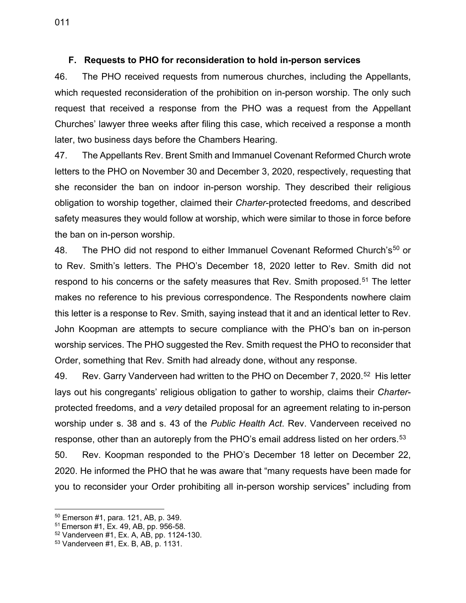#### <span id="page-17-0"></span>**F. Requests to PHO for reconsideration to hold in-person services**

46. The PHO received requests from numerous churches, including the Appellants, which requested reconsideration of the prohibition on in-person worship. The only such request that received a response from the PHO was a request from the Appellant Churches' lawyer three weeks after filing this case, which received a response a month later, two business days before the Chambers Hearing.

47. The Appellants Rev. Brent Smith and Immanuel Covenant Reformed Church wrote letters to the PHO on November 30 and December 3, 2020, respectively, requesting that she reconsider the ban on indoor in-person worship. They described their religious obligation to worship together, claimed their *Charter*-protected freedoms, and described safety measures they would follow at worship, which were similar to those in force before the ban on in-person worship.

48. The PHO did not respond to either Immanuel Covenant Reformed Church's<sup>[50](#page-17-1)</sup> or to Rev. Smith's letters. The PHO's December 18, 2020 letter to Rev. Smith did not respond to his concerns or the safety measures that Rev. Smith proposed.<sup>[51](#page-17-2)</sup> The letter makes no reference to his previous correspondence. The Respondents nowhere claim this letter is a response to Rev. Smith, saying instead that it and an identical letter to Rev. John Koopman are attempts to secure compliance with the PHO's ban on in-person worship services. The PHO suggested the Rev. Smith request the PHO to reconsider that Order, something that Rev. Smith had already done, without any response.

49. Rev. Garry Vanderveen had written to the PHO on December 7, 2020.<sup>52</sup> His letter lays out his congregants' religious obligation to gather to worship, claims their *Charter*protected freedoms, and a *very* detailed proposal for an agreement relating to in-person worship under s. 38 and s. 43 of the *Public Health Act*. Rev. Vanderveen received no response, other than an autoreply from the PHO's email address listed on her orders. $^{\rm 53}$  $^{\rm 53}$  $^{\rm 53}$ 

50. Rev. Koopman responded to the PHO's December 18 letter on December 22, 2020. He informed the PHO that he was aware that "many requests have been made for you to reconsider your Order prohibiting all in-person worship services" including from

<span id="page-17-1"></span><sup>50</sup> Emerson #1, para. 121, AB, p. 349.

<span id="page-17-2"></span><sup>51</sup> Emerson #1, Ex. 49, AB, pp. 956-58.

<span id="page-17-3"></span> $52$  Vanderveen #1, Ex. A, AB, pp. 1124-130.<br> $53$  Vanderveen #1, Ex. B, AB, p. 1131.

<span id="page-17-4"></span>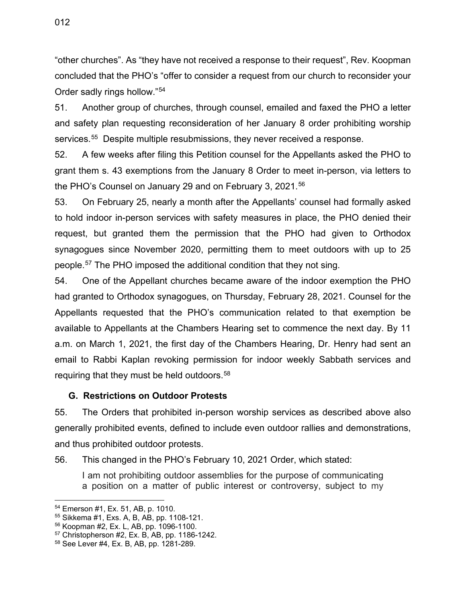"other churches". As "they have not received a response to their request", Rev. Koopman concluded that the PHO's "offer to consider a request from our church to reconsider your Order sadly rings hollow."[54](#page-18-1)

51. Another group of churches, through counsel, emailed and faxed the PHO a letter and safety plan requesting reconsideration of her January 8 order prohibiting worship services.<sup>55</sup> Despite multiple resubmissions, they never received a response.

52. A few weeks after filing this Petition counsel for the Appellants asked the PHO to grant them s. 43 exemptions from the January 8 Order to meet in-person, via letters to the PHO's Counsel on January 29 and on February 3, 2021.<sup>[56](#page-18-3)</sup>

53. On February 25, nearly a month after the Appellants' counsel had formally asked to hold indoor in-person services with safety measures in place, the PHO denied their request, but granted them the permission that the PHO had given to Orthodox synagogues since November 2020, permitting them to meet outdoors with up to 25 people. [57](#page-18-4) The PHO imposed the additional condition that they not sing.

54. One of the Appellant churches became aware of the indoor exemption the PHO had granted to Orthodox synagogues, on Thursday, February 28, 2021. Counsel for the Appellants requested that the PHO's communication related to that exemption be available to Appellants at the Chambers Hearing set to commence the next day. By 11 a.m. on March 1, 2021, the first day of the Chambers Hearing, Dr. Henry had sent an email to Rabbi Kaplan revoking permission for indoor weekly Sabbath services and requiring that they must be held outdoors.<sup>[58](#page-18-5)</sup>

#### <span id="page-18-0"></span>**G. Restrictions on Outdoor Protests**

55. The Orders that prohibited in-person worship services as described above also generally prohibited events, defined to include even outdoor rallies and demonstrations, and thus prohibited outdoor protests.

56. This changed in the PHO's February 10, 2021 Order, which stated:

I am not prohibiting outdoor assemblies for the purpose of communicating a position on a matter of public interest or controversy, subject to my

<span id="page-18-2"></span><span id="page-18-1"></span><sup>&</sup>lt;sup>54</sup> Emerson #1, Ex. 51, AB, p. 1010.<br><sup>55</sup> Sikkema #1, Exs. A, B, AB, pp. 1108-121.<br><sup>56</sup> Koopman #2, Ex. L, AB, pp. 1096-1100.

<span id="page-18-3"></span>

<span id="page-18-4"></span> $57$  Christopherson #2, Ex. B, AB, pp. 1186-1242.<br> $58$  See Lever #4, Ex. B, AB, pp. 1281-289.

<span id="page-18-5"></span>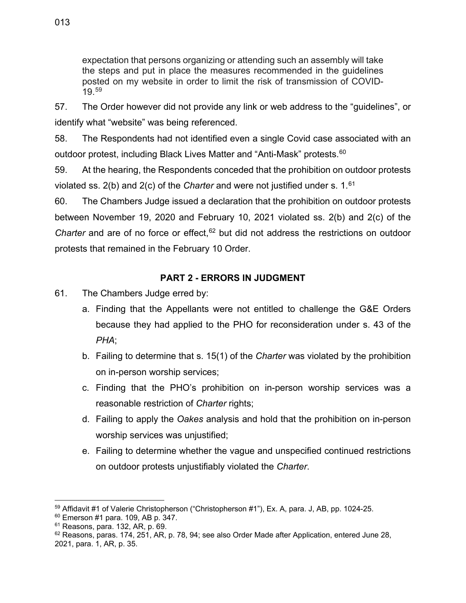expectation that persons organizing or attending such an assembly will take the steps and put in place the measures recommended in the guidelines posted on my website in order to limit the risk of transmission of COVID-19.[59](#page-19-1)

57. The Order however did not provide any link or web address to the "guidelines", or identify what "website" was being referenced.

58. The Respondents had not identified even a single Covid case associated with an outdoor protest, including Black Lives Matter and "Anti-Mask" protests.<sup>[60](#page-19-2)</sup>

59. At the hearing, the Respondents conceded that the prohibition on outdoor protests violated ss. 2(b) and 2(c) of the *Charter* and were not justified under s. 1.[61](#page-19-3)

60. The Chambers Judge issued a declaration that the prohibition on outdoor protests between November 19, 2020 and February 10, 2021 violated ss. 2(b) and 2(c) of the *Charter* and are of no force or effect,<sup>[62](#page-19-4)</sup> but did not address the restrictions on outdoor protests that remained in the February 10 Order.

## **PART 2 - ERRORS IN JUDGMENT**

- <span id="page-19-0"></span>61. The Chambers Judge erred by:
	- a. Finding that the Appellants were not entitled to challenge the G&E Orders because they had applied to the PHO for reconsideration under s. 43 of the *PHA*;
	- b. Failing to determine that s. 15(1) of the *Charter* was violated by the prohibition on in-person worship services;
	- c. Finding that the PHO's prohibition on in-person worship services was a reasonable restriction of *Charter* rights;
	- d. Failing to apply the *Oakes* analysis and hold that the prohibition on in-person worship services was unjustified;
	- e. Failing to determine whether the vague and unspecified continued restrictions on outdoor protests unjustifiably violated the *Charter*.

<span id="page-19-1"></span> $59$  Affidavit #1 of Valerie Christopherson ("Christopherson #1"), Ex. A, para. J, AB, pp. 1024-25.<br><sup>60</sup> Emerson #1 para. 109, AB p. 347.

<span id="page-19-2"></span>

<span id="page-19-4"></span><span id="page-19-3"></span> $61$  Reasons, para. 132, AR, p. 69.<br> $62$  Reasons, paras. 174, 251, AR, p. 78, 94; see also Order Made after Application, entered June 28, 2021, para. 1, AR, p. 35.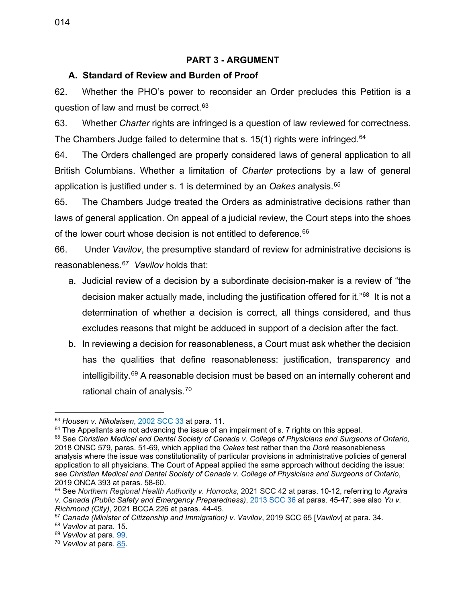#### **PART 3 - ARGUMENT**

#### <span id="page-20-1"></span><span id="page-20-0"></span>**A. Standard of Review and Burden of Proof**

62. Whether the PHO's power to reconsider an Order precludes this Petition is a question of law and must be correct. [63](#page-20-2)

63. Whether *Charter* rights are infringed is a question of law reviewed for correctness. The Chambers Judge failed to determine that s. 15(1) rights were infringed. $^{64}$  $^{64}$  $^{64}$ 

64. The Orders challenged are properly considered laws of general application to all British Columbians. Whether a limitation of *Charter* protections by a law of general application is justified under s. 1 is determined by an *Oakes* analysis.[65](#page-20-4)

65. The Chambers Judge treated the Orders as administrative decisions rather than laws of general application. On appeal of a judicial review, the Court steps into the shoes of the lower court whose decision is not entitled to deference. [66](#page-20-5)

66. Under *Vavilov*, the presumptive standard of review for administrative decisions is reasonableness.[67](#page-20-6) *Vavilov* holds that:

- a. Judicial review of a decision by a subordinate decision-maker is a review of "the decision maker actually made, including the justification offered for it."<sup>[68](#page-20-7)</sup> It is not a determination of whether a decision is correct, all things considered, and thus excludes reasons that might be adduced in support of a decision after the fact.
- b. In reviewing a decision for reasonableness, a Court must ask whether the decision has the qualities that define reasonableness: justification, transparency and intelligibility.[69](#page-20-8) A reasonable decision must be based on an internally coherent and rational chain of analysis.<sup>[70](#page-20-9)</sup>

<span id="page-20-2"></span><sup>63</sup> *Housen v. Nikolaisen*, [2002 SCC 33](https://www.canlii.org/en/ca/scc/doc/2002/2002scc33/2002scc33.html) at para. 11.

<span id="page-20-3"></span> $64$  The Appellants are not advancing the issue of an impairment of s. 7 rights on this appeal.

<span id="page-20-4"></span><sup>65</sup> See *Christian Medical and Dental Society of Canada v. College of Physicians and Surgeons of Ontario,*  2018 ONSC 579, paras. 51-69, which applied the *Oakes* test rather than the *Doré* reasonableness analysis where the issue was constitutionality of particular provisions in administrative policies of general application to all physicians. The Court of Appeal applied the same approach without deciding the issue: see *Christian Medical and Dental Society of Canada v. College of Physicians and Surgeons of Ontario*, 2019 ONCA 393 at paras. 58-60.<br><sup>66</sup> See *Northern Regional Health Authority v. Horrocks*, 2021 SCC 42 at paras. 10-12, referring to *Agraira* 

<span id="page-20-5"></span>*v. Canada (Public Safety and Emergency Preparedness)*, [2013](https://www.canlii.org/en/ca/scc/doc/2013/2013scc36/2013scc36.html) SCC 36 at paras. 45-47; see also *Yu v. Richmond (City)*, 2021 BCCA 226 at paras. 44-45.

<span id="page-20-6"></span><sup>67</sup> *Canada (Minister of Citizenship and Immigration) v. Vavilov*, 2019 SCC 65 [*Vavilov*] at para. 34.

<span id="page-20-7"></span><sup>68</sup> *Vavilov* at para. 15.

<span id="page-20-8"></span><sup>69</sup> *Vavilov* at para. [99.](https://www.canlii.org/en/ca/scc/doc/2019/2019scc65/2019scc65.html#par99)

<span id="page-20-9"></span><sup>70</sup> *Vavilov* at para. [85.](https://www.canlii.org/en/ca/scc/doc/2019/2019scc65/2019scc65.html#par85)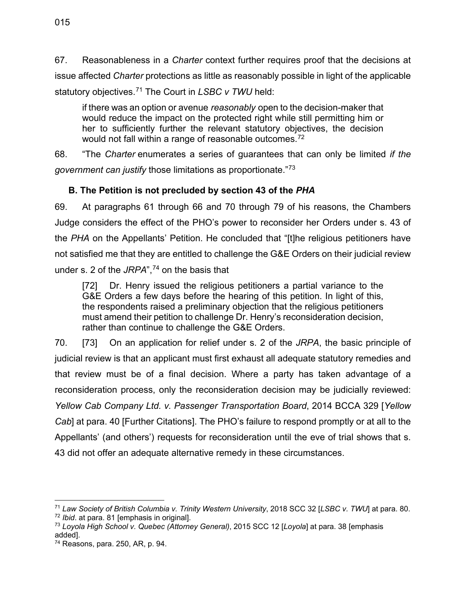67. Reasonableness in a *Charter* context further requires proof that the decisions at issue affected *Charter* protections as little as reasonably possible in light of the applicable statutory objectives.[71](#page-21-1) The Court in *LSBC v TWU* held:

if there was an option or avenue *reasonably* open to the decision-maker that would reduce the impact on the protected right while still permitting him or her to sufficiently further the relevant statutory objectives, the decision would not fall within a range of reasonable outcomes.<sup>[72](#page-21-2)</sup>

68. "The *Charter* enumerates a series of guarantees that can only be limited *if the government can justify* those limitations as proportionate."[73](#page-21-3)

## <span id="page-21-0"></span>**B. The Petition is not precluded by section 43 of the** *PHA*

69. At paragraphs 61 through 66 and 70 through 79 of his reasons, the Chambers Judge considers the effect of the PHO's power to reconsider her Orders under s. 43 of the *PHA* on the Appellants' Petition. He concluded that "[t]he religious petitioners have not satisfied me that they are entitled to challenge the G&E Orders on their judicial review under [s. 2](https://www.canlii.org/en/bc/laws/stat/rsbc-1996-c-241/latest/rsbc-1996-c-241.html#sec2_smooth) of the *[JRPA](https://www.canlii.org/en/bc/laws/stat/rsbc-1996-c-241/latest/rsbc-1996-c-241.html)*",<sup>[74](#page-21-4)</sup> on the basis that

[72] Dr. Henry issued the religious petitioners a partial variance to the G&E Orders a few days before the hearing of this petition. In light of this, the respondents raised a preliminary objection that the religious petitioners must amend their petition to challenge Dr. Henry's reconsideration decision, rather than continue to challenge the G&E Orders.

70. [73] On an application for relief under s. 2 of the *JRPA*, the basic principle of judicial review is that an applicant must first exhaust all adequate statutory remedies and that review must be of a final decision. Where a party has taken advantage of a reconsideration process, only the reconsideration decision may be judicially reviewed: *Yellow Cab Company Ltd. v. Passenger Transportation Board*, 2014 BCCA 329 [*Yellow Cab*] at para. 40 [Further Citations]. The PHO's failure to respond promptly or at all to the Appellants' (and others') requests for reconsideration until the eve of trial shows that s. 43 did not offer an adequate alternative remedy in these circumstances.

<span id="page-21-1"></span><sup>71</sup> *Law Society of British Columbia v. Trinity Western University*, 2018 SCC 32 [*LSBC v. TWU*] at para. 80.

<span id="page-21-3"></span><span id="page-21-2"></span><sup>&</sup>lt;sup>73</sup> Loyola High School v. Quebec (Attorney General), 2015 SCC 12 [Loyola] at para. 38 [emphasis added].<br><sup>74</sup> Reasons, para. 250, AR, p. 94.

<span id="page-21-4"></span>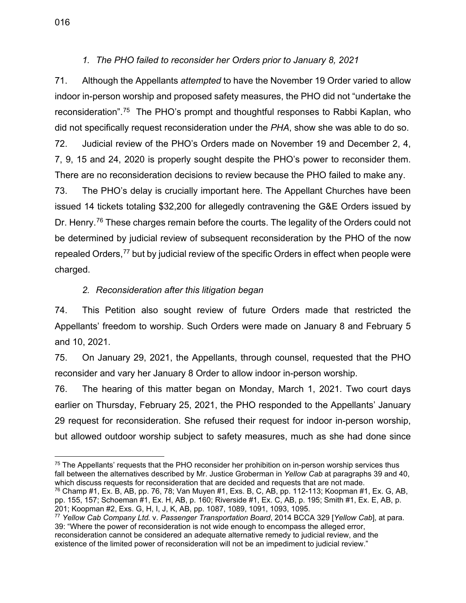#### *1. The PHO failed to reconsider her Orders prior to January 8, 2021*

<span id="page-22-0"></span>71. Although the Appellants *attempted* to have the November 19 Order varied to allow indoor in-person worship and proposed safety measures, the PHO did not "undertake the reconsideration".[75](#page-22-2) The PHO's prompt and thoughtful responses to Rabbi Kaplan, who did not specifically request reconsideration under the *PHA*, show she was able to do so.

72. Judicial review of the PHO's Orders made on November 19 and December 2, 4, 7, 9, 15 and 24, 2020 is properly sought despite the PHO's power to reconsider them. There are no reconsideration decisions to review because the PHO failed to make any.

73. The PHO's delay is crucially important here. The Appellant Churches have been issued 14 tickets totaling \$32,200 for allegedly contravening the G&E Orders issued by Dr. Henry.<sup>[76](#page-22-3)</sup> These charges remain before the courts. The legality of the Orders could not be determined by judicial review of subsequent reconsideration by the PHO of the now repealed Orders,<sup>[77](#page-22-4)</sup> but by judicial review of the specific Orders in effect when people were charged.

## *2. Reconsideration after this litigation began*

<span id="page-22-1"></span>74. This Petition also sought review of future Orders made that restricted the Appellants' freedom to worship. Such Orders were made on January 8 and February 5 and 10, 2021.

75. On January 29, 2021, the Appellants, through counsel, requested that the PHO reconsider and vary her January 8 Order to allow indoor in-person worship.

76. The hearing of this matter began on Monday, March 1, 2021. Two court days earlier on Thursday, February 25, 2021, the PHO responded to the Appellants' January 29 request for reconsideration. She refused their request for indoor in-person worship, but allowed outdoor worship subject to safety measures, much as she had done since

<span id="page-22-2"></span><sup>&</sup>lt;sup>75</sup> The Appellants' requests that the PHO reconsider her prohibition on in-person worship services thus fall between the alternatives described by Mr. Justice Groberman in *Yellow Cab* at paragraphs 39 and 40, which discuss requests for reconsideration that are decided and requests that are not made.

<span id="page-22-3"></span><sup>76</sup> Champ #1, Ex. B, AB, pp. 76, 78; Van Muyen #1, Exs. B, C, AB, pp. 112-113; Koopman #1, Ex. G, AB, pp. 155, 157; Schoeman #1, Ex. H, AB, p. 160; Riverside #1, Ex. C, AB, p. 195; Smith #1, Ex. E, AB, p. 201; Koopman #2, Exs. G, H, I, J, K, AB, pp. 1087, 1089, 1091, 1093, 1095.

<span id="page-22-4"></span><sup>77</sup> *Yellow Cab Company Ltd.* v. *Passenger Transportation Board*, 2014 BCCA 329 [*Yellow Cab*], at para. 39: "Where the power of reconsideration is not wide enough to encompass the alleged error, reconsideration cannot be considered an adequate alternative remedy to judicial review, and the existence of the limited power of reconsideration will not be an impediment to judicial review."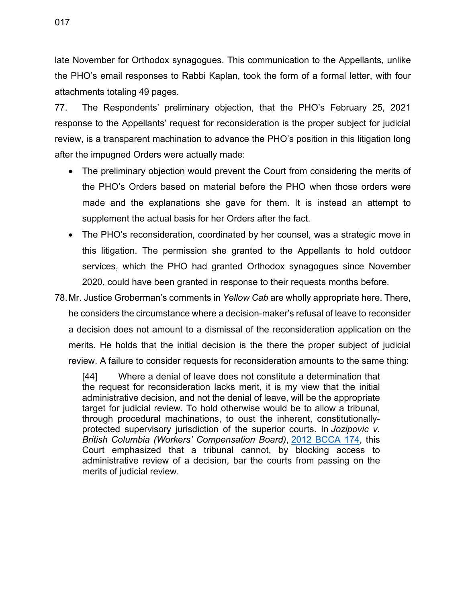017

late November for Orthodox synagogues. This communication to the Appellants, unlike the PHO's email responses to Rabbi Kaplan, took the form of a formal letter, with four attachments totaling 49 pages.

77. The Respondents' preliminary objection, that the PHO's February 25, 2021 response to the Appellants' request for reconsideration is the proper subject for judicial review, is a transparent machination to advance the PHO's position in this litigation long after the impugned Orders were actually made:

- The preliminary objection would prevent the Court from considering the merits of the PHO's Orders based on material before the PHO when those orders were made and the explanations she gave for them. It is instead an attempt to supplement the actual basis for her Orders after the fact.
- The PHO's reconsideration, coordinated by her counsel, was a strategic move in this litigation. The permission she granted to the Appellants to hold outdoor services, which the PHO had granted Orthodox synagogues since November 2020, could have been granted in response to their requests months before.
- 78.Mr. Justice Groberman's comments in *Yellow Cab* are wholly appropriate here. There, he considers the circumstance where a decision-maker's refusal of leave to reconsider a decision does not amount to a dismissal of the reconsideration application on the merits. He holds that the initial decision is the there the proper subject of judicial review. A failure to consider requests for reconsideration amounts to the same thing:

[44] Where a denial of leave does not constitute a determination that the request for reconsideration lacks merit, it is my view that the initial administrative decision, and not the denial of leave, will be the appropriate target for judicial review. To hold otherwise would be to allow a tribunal, through procedural machinations, to oust the inherent, constitutionallyprotected supervisory jurisdiction of the superior courts. In *Jozipovic v. British Columbia (Workers' Compensation Board)*, [2012 BCCA 174,](https://www.canlii.org/en/bc/bcca/doc/2012/2012bcca174/2012bcca174.html) this Court emphasized that a tribunal cannot, by blocking access to administrative review of a decision, bar the courts from passing on the merits of judicial review.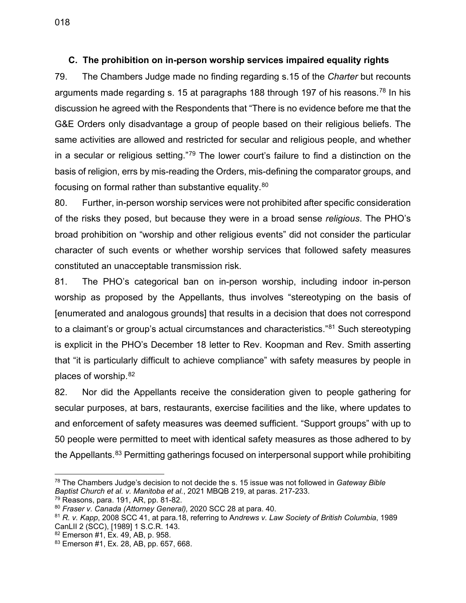#### <span id="page-24-0"></span>**C. The prohibition on in-person worship services impaired equality rights**

79. The Chambers Judge made no finding regarding s.15 of the *Charter* but recounts arguments made regarding s. 15 at paragraphs 188 through 197 of his reasons.<sup>[78](#page-24-1)</sup> In his discussion he agreed with the Respondents that "There is no evidence before me that the G&E Orders only disadvantage a group of people based on their religious beliefs. The same activities are allowed and restricted for secular and religious people, and whether in a secular or religious setting."<sup>[79](#page-24-2)</sup> The lower court's failure to find a distinction on the basis of religion, errs by mis-reading the Orders, mis-defining the comparator groups, and focusing on formal rather than substantive equality.<sup>[80](#page-24-3)</sup>

80. Further, in-person worship services were not prohibited after specific consideration of the risks they posed, but because they were in a broad sense *religious*. The PHO's broad prohibition on "worship and other religious events" did not consider the particular character of such events or whether worship services that followed safety measures constituted an unacceptable transmission risk.

81. The PHO's categorical ban on in-person worship, including indoor in-person worship as proposed by the Appellants, thus involves "stereotyping on the basis of [enumerated and analogous grounds] that results in a decision that does not correspond to a claimant's or group's actual circumstances and characteristics."<sup>[81](#page-24-4)</sup> Such stereotyping is explicit in the PHO's December 18 letter to Rev. Koopman and Rev. Smith asserting that "it is particularly difficult to achieve compliance" with safety measures by people in places of worship. [82](#page-24-5)

82. Nor did the Appellants receive the consideration given to people gathering for secular purposes, at bars, restaurants, exercise facilities and the like, where updates to and enforcement of safety measures was deemed sufficient. "Support groups" with up to 50 people were permitted to meet with identical safety measures as those adhered to by the Appellants.<sup>[83](#page-24-6)</sup> Permitting gatherings focused on interpersonal support while prohibiting

<span id="page-24-1"></span><sup>78</sup> The Chambers Judge's decision to not decide the s. 15 issue was not followed in *Gateway Bible Baptist Church et al. v. Manitoba et al.*, 2021 MBQB 219, at paras. 217-233.<br><sup>79</sup> Reasons, para. 191, AR, pp. 81-82.

<span id="page-24-2"></span>

<span id="page-24-3"></span><sup>&</sup>lt;sup>80</sup> Fraser v. Canada (Attorney General), [2020 SCC 28](https://scc-csc.lexum.com/scc-csc/scc-csc/en/item/18510/index.do) at para. 40.

<span id="page-24-4"></span><sup>81</sup> *R. v. Kapp*, 2008 SCC 41, at para.18, referring to A*ndrews v. Law Society of British Columbia*, [1989](https://www.canlii.org/en/ca/scc/doc/1989/1989canlii2/1989canlii2.html)  [CanLII 2 \(SCC\),](https://www.canlii.org/en/ca/scc/doc/1989/1989canlii2/1989canlii2.html) [1989] 1 S.C.R. 143.

<span id="page-24-5"></span><sup>82</sup> Emerson #1, Ex. 49, AB, p. 958.

<span id="page-24-6"></span><sup>83</sup> Emerson #1, Ex. 28, AB, pp. 657, 668.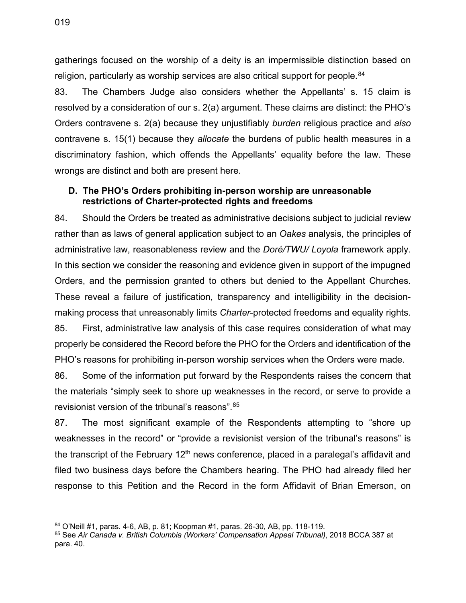gatherings focused on the worship of a deity is an impermissible distinction based on religion, particularly as worship services are also critical support for people.<sup>[84](#page-25-1)</sup>

83. The Chambers Judge also considers whether the Appellants' s. 15 claim is resolved by a consideration of our s. 2(a) argument. These claims are distinct: the PHO's Orders contravene s. 2(a) because they unjustifiably *burden* religious practice and *also* contravene s. 15(1) because they *allocate* the burdens of public health measures in a discriminatory fashion, which offends the Appellants' equality before the law. These wrongs are distinct and both are present here.

#### <span id="page-25-0"></span>**D. The PHO's Orders prohibiting in-person worship are unreasonable restrictions of Charter-protected rights and freedoms**

84. Should the Orders be treated as administrative decisions subject to judicial review rather than as laws of general application subject to an *Oakes* analysis, the principles of administrative law, reasonableness review and the *Doré/TWU/ Loyola* framework apply. In this section we consider the reasoning and evidence given in support of the impugned Orders, and the permission granted to others but denied to the Appellant Churches. These reveal a failure of justification, transparency and intelligibility in the decisionmaking process that unreasonably limits *Charter*-protected freedoms and equality rights. 85. First, administrative law analysis of this case requires consideration of what may properly be considered the Record before the PHO for the Orders and identification of the PHO's reasons for prohibiting in-person worship services when the Orders were made.

86. Some of the information put forward by the Respondents raises the concern that the materials "simply seek to shore up weaknesses in the record, or serve to provide a revisionist version of the tribunal's reasons". [85](#page-25-2)

87. The most significant example of the Respondents attempting to "shore up weaknesses in the record" or "provide a revisionist version of the tribunal's reasons" is the transcript of the February  $12<sup>th</sup>$  news conference, placed in a paralegal's affidavit and filed two business days before the Chambers hearing. The PHO had already filed her response to this Petition and the Record in the form Affidavit of Brian Emerson, on

<span id="page-25-2"></span><span id="page-25-1"></span><sup>&</sup>lt;sup>84</sup> O'Neill #1, paras. 4-6, AB, p. 81; Koopman #1, paras. 26-30, AB, pp. 118-119.<br><sup>85</sup> See *Air Canada v. British Columbia (Workers' Compensation Appeal Tribunal), 2018 BCCA 387 at* para. 40.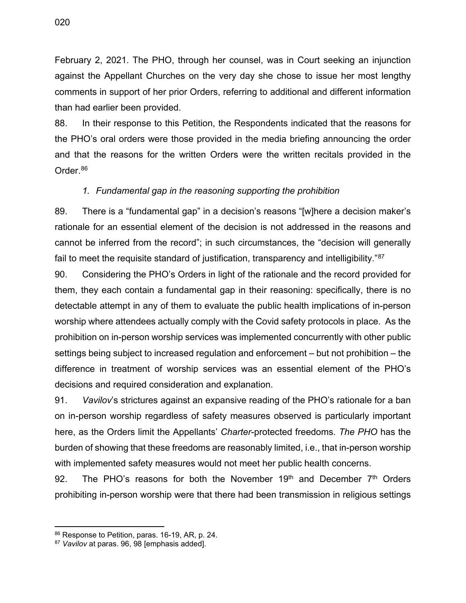020

February 2, 2021. The PHO, through her counsel, was in Court seeking an injunction against the Appellant Churches on the very day she chose to issue her most lengthy comments in support of her prior Orders, referring to additional and different information than had earlier been provided.

88. In their response to this Petition, the Respondents indicated that the reasons for the PHO's oral orders were those provided in the media briefing announcing the order and that the reasons for the written Orders were the written recitals provided in the Order[.86](#page-26-1)

## *1. Fundamental gap in the reasoning supporting the prohibition*

<span id="page-26-0"></span>89. There is a "fundamental gap" in a decision's reasons "[w]here a decision maker's rationale for an essential element of the decision is not addressed in the reasons and cannot be inferred from the record"; in such circumstances, the "decision will generally fail to meet the requisite standard of justification, transparency and intelligibility."[87](#page-26-2)

90. Considering the PHO's Orders in light of the rationale and the record provided for them, they each contain a fundamental gap in their reasoning: specifically, there is no detectable attempt in any of them to evaluate the public health implications of in-person worship where attendees actually comply with the Covid safety protocols in place. As the prohibition on in-person worship services was implemented concurrently with other public settings being subject to increased regulation and enforcement – but not prohibition – the difference in treatment of worship services was an essential element of the PHO's decisions and required consideration and explanation.

91. *Vavilov*'s strictures against an expansive reading of the PHO's rationale for a ban on in-person worship regardless of safety measures observed is particularly important here, as the Orders limit the Appellants' *Charter*-protected freedoms. *The PHO* has the burden of showing that these freedoms are reasonably limited, i.e., that in-person worship with implemented safety measures would not meet her public health concerns.

92. The PHO's reasons for both the November  $19<sup>th</sup>$  and December  $7<sup>th</sup>$  Orders prohibiting in-person worship were that there had been transmission in religious settings

<span id="page-26-1"></span><sup>86</sup> Response to Petition, paras. 16-19, AR, p. 24.

<span id="page-26-2"></span><sup>87</sup> *Vavilov* at paras. 96, 98 [emphasis added].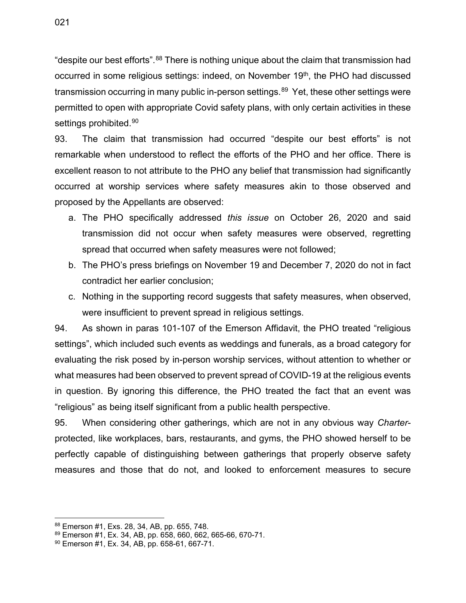"despite our best efforts".<sup>[88](#page-27-0)</sup> There is nothing unique about the claim that transmission had occurred in some religious settings: indeed, on November 19<sup>th</sup>, the PHO had discussed transmission occurring in many public in-person settings.<sup>[89](#page-27-1)</sup> Yet, these other settings were permitted to open with appropriate Covid safety plans, with only certain activities in these settings prohibited.<sup>[90](#page-27-2)</sup>

93. The claim that transmission had occurred "despite our best efforts" is not remarkable when understood to reflect the efforts of the PHO and her office. There is excellent reason to not attribute to the PHO any belief that transmission had significantly occurred at worship services where safety measures akin to those observed and proposed by the Appellants are observed:

- a. The PHO specifically addressed *this issue* on October 26, 2020 and said transmission did not occur when safety measures were observed, regretting spread that occurred when safety measures were not followed;
- b. The PHO's press briefings on November 19 and December 7, 2020 do not in fact contradict her earlier conclusion;
- c. Nothing in the supporting record suggests that safety measures, when observed, were insufficient to prevent spread in religious settings.

94. As shown in paras 101-107 of the Emerson Affidavit, the PHO treated "religious settings", which included such events as weddings and funerals, as a broad category for evaluating the risk posed by in-person worship services, without attention to whether or what measures had been observed to prevent spread of COVID-19 at the religious events in question. By ignoring this difference, the PHO treated the fact that an event was "religious" as being itself significant from a public health perspective.

95. When considering other gatherings, which are not in any obvious way *Charter*protected, like workplaces, bars, restaurants, and gyms, the PHO showed herself to be perfectly capable of distinguishing between gatherings that properly observe safety measures and those that do not, and looked to enforcement measures to secure

<span id="page-27-0"></span><sup>88</sup> Emerson #1, Exs. 28, 34, AB, pp. 655, 748.

<span id="page-27-1"></span> $89$  Emerson #1, Ex. 34, AB, pp. 658, 660, 662, 665-66, 670-71.<br> $90$  Emerson #1, Ex. 34, AB, pp. 658-61, 667-71.

<span id="page-27-2"></span>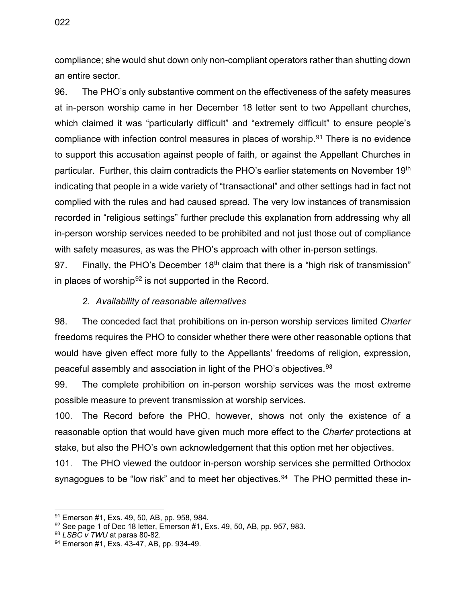compliance; she would shut down only non-compliant operators rather than shutting down an entire sector.

96. The PHO's only substantive comment on the effectiveness of the safety measures at in-person worship came in her December 18 letter sent to two Appellant churches, which claimed it was "particularly difficult" and "extremely difficult" to ensure people's compliance with infection control measures in places of worship. [91](#page-28-1) There is no evidence to support this accusation against people of faith, or against the Appellant Churches in particular. Further, this claim contradicts the PHO's earlier statements on November 19th indicating that people in a wide variety of "transactional" and other settings had in fact not complied with the rules and had caused spread. The very low instances of transmission recorded in "religious settings" further preclude this explanation from addressing why all in-person worship services needed to be prohibited and not just those out of compliance with safety measures, as was the PHO's approach with other in-person settings.

97. Finally, the PHO's December  $18<sup>th</sup>$  claim that there is a "high risk of transmission" in places of worship<sup>[92](#page-28-2)</sup> is not supported in the Record.

#### *2. Availability of reasonable alternatives*

<span id="page-28-0"></span>98. The conceded fact that prohibitions on in-person worship services limited *Charter* freedoms requires the PHO to consider whether there were other reasonable options that would have given effect more fully to the Appellants' freedoms of religion, expression, peaceful assembly and association in light of the PHO's objectives.<sup>[93](#page-28-3)</sup>

99. The complete prohibition on in-person worship services was the most extreme possible measure to prevent transmission at worship services.

100. The Record before the PHO, however, shows not only the existence of a reasonable option that would have given much more effect to the *Charter* protections at stake, but also the PHO's own acknowledgement that this option met her objectives.

101. The PHO viewed the outdoor in-person worship services she permitted Orthodox synagogues to be "low risk" and to meet her objectives.<sup>[94](#page-28-4)</sup> The PHO permitted these in-

<span id="page-28-2"></span><span id="page-28-1"></span><sup>&</sup>lt;sup>91</sup> Emerson #1, Exs. 49, 50, AB, pp. 958, 984.<br><sup>92</sup> See page 1 of Dec 18 letter, Emerson #1, Exs. 49, 50, AB, pp. 957, 983.<br><sup>93</sup> *LSBC v TWU* at paras 80-82.

<span id="page-28-3"></span>

<span id="page-28-4"></span><sup>94</sup> Emerson #1, Exs. 43-47, AB, pp. 934-49.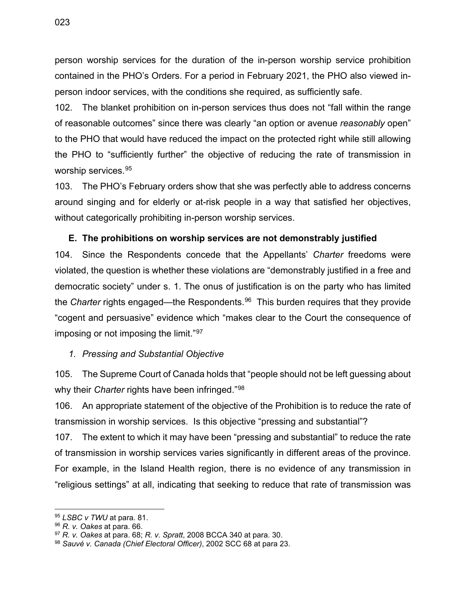person worship services for the duration of the in-person worship service prohibition contained in the PHO's Orders. For a period in February 2021, the PHO also viewed inperson indoor services, with the conditions she required, as sufficiently safe.

102. The blanket prohibition on in-person services thus does not "fall within the range of reasonable outcomes" since there was clearly "an option or avenue *reasonably* open" to the PHO that would have reduced the impact on the protected right while still allowing the PHO to "sufficiently further" the objective of reducing the rate of transmission in worship services. [95](#page-29-2)

103. The PHO's February orders show that she was perfectly able to address concerns around singing and for elderly or at-risk people in a way that satisfied her objectives, without categorically prohibiting in-person worship services.

## <span id="page-29-0"></span>**E. The prohibitions on worship services are not demonstrably justified**

104. Since the Respondents concede that the Appellants' *Charter* freedoms were violated, the question is whether these violations are "demonstrably justified in a free and democratic society" under s. 1. The onus of justification is on the party who has limited the *Charter* rights engaged—the Respondents.[96](#page-29-3) This burden requires that they provide "cogent and persuasive" evidence which "makes clear to the Court the consequence of imposing or not imposing the limit."[97](#page-29-4)

#### <span id="page-29-1"></span>*1. Pressing and Substantial Objective*

105. The Supreme Court of Canada holds that "people should not be left guessing about why their *Charter* rights have been infringed."[98](#page-29-5)

106. An appropriate statement of the objective of the Prohibition is to reduce the rate of transmission in worship services. Is this objective "pressing and substantial"?

107. The extent to which it may have been "pressing and substantial" to reduce the rate of transmission in worship services varies significantly in different areas of the province. For example, in the Island Health region, there is no evidence of any transmission in "religious settings" at all, indicating that seeking to reduce that rate of transmission was

<span id="page-29-3"></span><span id="page-29-2"></span><sup>95</sup> *LSBC v TWU* at para. 81.

<span id="page-29-4"></span><sup>&</sup>lt;sup>97</sup> *R. v. Oakes* at para. 68; *R. v. Spratt*, 2008 BCCA 340 at para. 30. <sup>98</sup> *Sauvé v. Canada (Chief Electoral Officer)*, 2002 SCC 68 at para 23.

<span id="page-29-5"></span>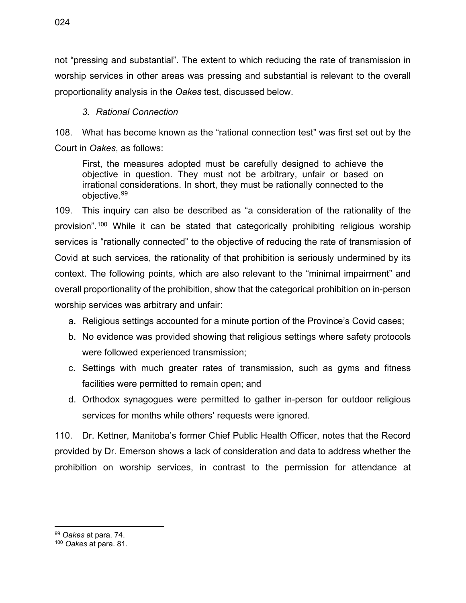not "pressing and substantial". The extent to which reducing the rate of transmission in worship services in other areas was pressing and substantial is relevant to the overall proportionality analysis in the *Oakes* test, discussed below.

#### *3. Rational Connection*

<span id="page-30-0"></span>108. What has become known as the "rational connection test" was first set out by the Court in *Oakes*, as follows:

First, the measures adopted must be carefully designed to achieve the objective in question. They must not be arbitrary, unfair or based on irrational considerations. In short, they must be rationally connected to the objective.[99](#page-30-1)

109. This inquiry can also be described as "a consideration of the rationality of the provision".[100](#page-30-2) While it can be stated that categorically prohibiting religious worship services is "rationally connected" to the objective of reducing the rate of transmission of Covid at such services, the rationality of that prohibition is seriously undermined by its context. The following points, which are also relevant to the "minimal impairment" and overall proportionality of the prohibition, show that the categorical prohibition on in-person worship services was arbitrary and unfair:

- a. Religious settings accounted for a minute portion of the Province's Covid cases;
- b. No evidence was provided showing that religious settings where safety protocols were followed experienced transmission;
- c. Settings with much greater rates of transmission, such as gyms and fitness facilities were permitted to remain open; and
- d. Orthodox synagogues were permitted to gather in-person for outdoor religious services for months while others' requests were ignored.

110. Dr. Kettner, Manitoba's former Chief Public Health Officer, notes that the Record provided by Dr. Emerson shows a lack of consideration and data to address whether the prohibition on worship services, in contrast to the permission for attendance at

<span id="page-30-1"></span><sup>99</sup> *Oakes* at para. 74. 100 *Oakes* at para. 81.

<span id="page-30-2"></span>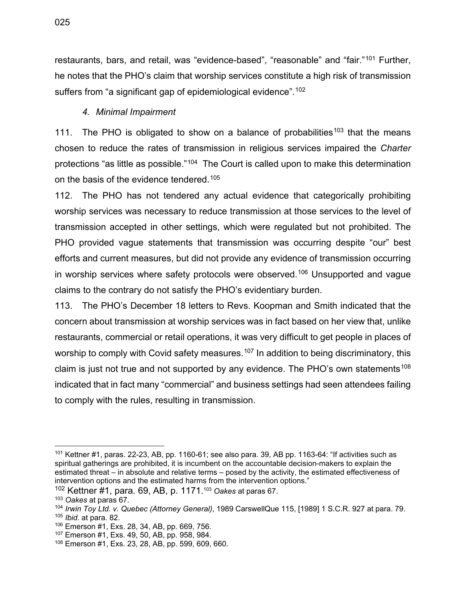restaurants, bars, and retail, was "evidence-based", "reasonable" and "fair."<sup>[101](#page-31-1)</sup> Further, he notes that the PHO's claim that worship services constitute a high risk of transmission suffers from "a significant gap of epidemiological evidence".<sup>[102](#page-31-2)</sup>

#### *4. Minimal Impairment*

<span id="page-31-0"></span>111. The PHO is obligated to show on a balance of probabilities<sup>[103](#page-31-3)</sup> that the means chosen to reduce the rates of transmission in religious services impaired the *Charter* protections "as little as possible."[104](#page-31-4) The Court is called upon to make this determination on the basis of the evidence tendered.[105](#page-31-5)

112. The PHO has not tendered any actual evidence that categorically prohibiting worship services was necessary to reduce transmission at those services to the level of transmission accepted in other settings, which were regulated but not prohibited. The PHO provided vague statements that transmission was occurring despite "our" best efforts and current measures, but did not provide any evidence of transmission occurring in worship services where safety protocols were observed.<sup>[106](#page-31-6)</sup> Unsupported and vague claims to the contrary do not satisfy the PHO's evidentiary burden.

113. The PHO's December 18 letters to Revs. Koopman and Smith indicated that the concern about transmission at worship services was in fact based on her view that, unlike restaurants, commercial or retail operations, it was very difficult to get people in places of worship to comply with Covid safety measures.<sup>[107](#page-31-7)</sup> In addition to being discriminatory, this claim is just not true and not supported by any evidence. The PHO's own statements<sup>[108](#page-31-8)</sup> indicated that in fact many "commercial" and business settings had seen attendees failing to comply with the rules, resulting in transmission.

<span id="page-31-1"></span> $101$  Kettner #1, paras. 22-23, AB, pp. 1160-61; see also para. 39, AB pp. 1163-64: "If activities such as spiritual gatherings are prohibited, it is incumbent on the accountable decision-makers to explain the estimated threat – in absolute and relative terms – posed by the activity, the estimated effectiveness of intervention options and the estimated harms from the intervention options."

<span id="page-31-2"></span><sup>102</sup> Kettner #1, para. 69, AB, p. 1171.103 *Oakes* at paras 67.

<span id="page-31-3"></span><sup>103</sup> *Oakes* at paras 67.

<span id="page-31-5"></span><span id="page-31-4"></span><sup>104</sup> *Irwin Toy Ltd. v. Quebec (Attorney General)*, 1989 CarswellQue 115, [1989] 1 S.C.R. 927 at para. 79. <sup>105</sup> *Ibid*. at para. 82.

<span id="page-31-6"></span><sup>106</sup> Emerson #1, Exs. 28, 34, AB, pp. 669, 756.

<span id="page-31-7"></span><sup>107</sup> Emerson #1, Exs. 49, 50, AB, pp. 958, 984.

<span id="page-31-8"></span><sup>108</sup> Emerson #1, Exs. 23, 28, AB, pp. 599, 609, 660.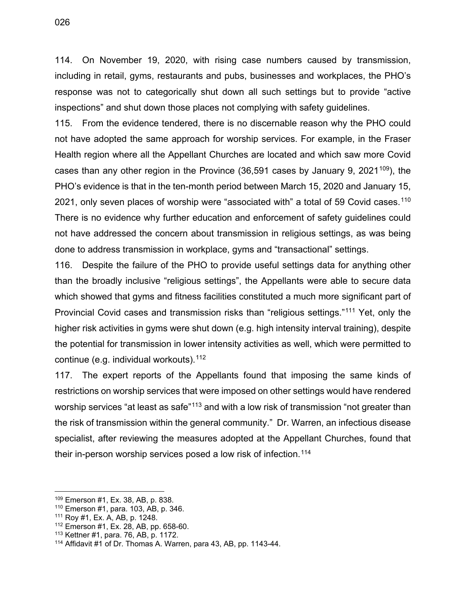114. On November 19, 2020, with rising case numbers caused by transmission, including in retail, gyms, restaurants and pubs, businesses and workplaces, the PHO's response was not to categorically shut down all such settings but to provide "active inspections" and shut down those places not complying with safety guidelines.

115. From the evidence tendered, there is no discernable reason why the PHO could not have adopted the same approach for worship services. For example, in the Fraser Health region where all the Appellant Churches are located and which saw more Covid cases than any other region in the Province  $(36,591)$  cases by January 9, 2021<sup>109</sup>), the PHO's evidence is that in the ten-month period between March 15, 2020 and January 15, 2021, only seven places of worship were "associated with" a total of 59 Covid cases.<sup>[110](#page-32-1)</sup> There is no evidence why further education and enforcement of safety guidelines could not have addressed the concern about transmission in religious settings, as was being done to address transmission in workplace, gyms and "transactional" settings.

116. Despite the failure of the PHO to provide useful settings data for anything other than the broadly inclusive "religious settings", the Appellants were able to secure data which showed that gyms and fitness facilities constituted a much more significant part of Provincial Covid cases and transmission risks than "religious settings."[111](#page-32-2) Yet, only the higher risk activities in gyms were shut down (e.g. high intensity interval training), despite the potential for transmission in lower intensity activities as well, which were permitted to continue (e.g. individual workouts). [112](#page-32-3)

117. The expert reports of the Appellants found that imposing the same kinds of restrictions on worship services that were imposed on other settings would have rendered worship services "at least as safe"<sup>[113](#page-32-4)</sup> and with a low risk of transmission "not greater than the risk of transmission within the general community." Dr. Warren, an infectious disease specialist, after reviewing the measures adopted at the Appellant Churches, found that their in-person worship services posed a low risk of infection.<sup>[114](#page-32-5)</sup>

<span id="page-32-0"></span><sup>109</sup> Emerson #1, Ex. 38, AB, p. 838.

<span id="page-32-1"></span><sup>110</sup> Emerson #1, para. 103, AB, p. 346.

<span id="page-32-3"></span><span id="page-32-2"></span><sup>&</sup>lt;sup>111</sup> Roy #1, Ex. A, AB, p. 1248.<br><sup>112</sup> Emerson #1, Ex. 28, AB, pp. 658-60.

<span id="page-32-5"></span><span id="page-32-4"></span><sup>&</sup>lt;sup>113</sup> Kettner #1, para. 76, AB, p. 1172.<br><sup>114</sup> Affidavit #1 of Dr. Thomas A. Warren, para 43, AB, pp. 1143-44.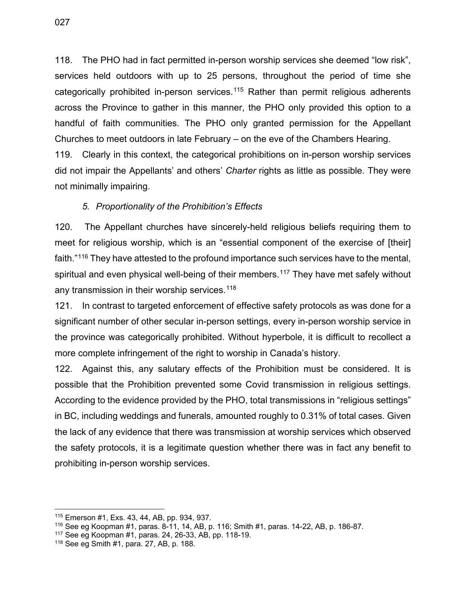118. The PHO had in fact permitted in-person worship services she deemed "low risk", services held outdoors with up to 25 persons, throughout the period of time she categorically prohibited in-person services.<sup>[115](#page-33-1)</sup> Rather than permit religious adherents across the Province to gather in this manner, the PHO only provided this option to a handful of faith communities. The PHO only granted permission for the Appellant Churches to meet outdoors in late February – on the eve of the Chambers Hearing.

119. Clearly in this context, the categorical prohibitions on in-person worship services did not impair the Appellants' and others' *Charter* rights as little as possible. They were not minimally impairing.

#### *5. Proportionality of the Prohibition's Effects*

<span id="page-33-0"></span>120. The Appellant churches have sincerely-held religious beliefs requiring them to meet for religious worship, which is an "essential component of the exercise of [their] faith."[116](#page-33-2) They have attested to the profound importance such services have to the mental, spiritual and even physical well-being of their members.<sup>[117](#page-33-3)</sup> They have met safely without any transmission in their worship services.<sup>[118](#page-33-4)</sup>

121. In contrast to targeted enforcement of effective safety protocols as was done for a significant number of other secular in-person settings, every in-person worship service in the province was categorically prohibited. Without hyperbole, it is difficult to recollect a more complete infringement of the right to worship in Canada's history.

122. Against this, any salutary effects of the Prohibition must be considered. It is possible that the Prohibition prevented some Covid transmission in religious settings. According to the evidence provided by the PHO, total transmissions in "religious settings" in BC, including weddings and funerals, amounted roughly to 0.31% of total cases. Given the lack of any evidence that there was transmission at worship services which observed the safety protocols, it is a legitimate question whether there was in fact any benefit to prohibiting in-person worship services.

<span id="page-33-1"></span><sup>&</sup>lt;sup>115</sup> Emerson #1, Exs. 43, 44, AB, pp. 934, 937.<br><sup>116</sup> See eg Koopman #1, paras. 8-11, 14, AB, p. 116; Smith #1, paras. 14-22, AB, p. 186-87.<br><sup>117</sup> See eg Koopman #1, paras. 24, 26-33, AB, pp. 118-19.<br><sup>118</sup> See eg Smith #1

<span id="page-33-3"></span><span id="page-33-2"></span>

<span id="page-33-4"></span>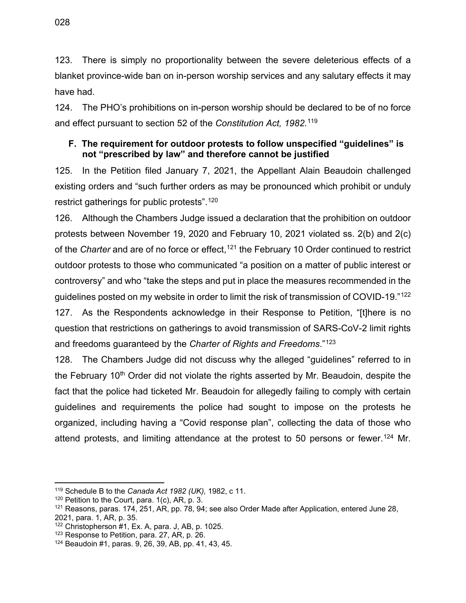123. There is simply no proportionality between the severe deleterious effects of a blanket province-wide ban on in-person worship services and any salutary effects it may have had.

124. The PHO's prohibitions on in-person worship should be declared to be of no force and effect pursuant to section 52 of the *Constitution Act, 1982*. [119](#page-34-1)

#### <span id="page-34-0"></span>**F. The requirement for outdoor protests to follow unspecified "guidelines" is not "prescribed by law" and therefore cannot be justified**

125. In the Petition filed January 7, 2021, the Appellant Alain Beaudoin challenged existing orders and "such further orders as may be pronounced which prohibit or unduly restrict gatherings for public protests".[120](#page-34-2)

126. Although the Chambers Judge issued a declaration that the prohibition on outdoor protests between November 19, 2020 and February 10, 2021 violated ss. 2(b) and 2(c) of the *Charter* and are of no force or effect,<sup>[121](#page-34-3)</sup> the February 10 Order continued to restrict outdoor protests to those who communicated "a position on a matter of public interest or controversy" and who "take the steps and put in place the measures recommended in the guidelines posted on my website in order to limit the risk of transmission of COVID-19."[122](#page-34-4) 127. As the Respondents acknowledge in their Response to Petition, "[t]here is no question that restrictions on gatherings to avoid transmission of SARS-CoV-2 limit rights

and freedoms guaranteed by the *Charter of Rights and Freedoms*."[123](#page-34-5)

128. The Chambers Judge did not discuss why the alleged "guidelines" referred to in the February 10<sup>th</sup> Order did not violate the rights asserted by Mr. Beaudoin, despite the fact that the police had ticketed Mr. Beaudoin for allegedly failing to comply with certain guidelines and requirements the police had sought to impose on the protests he organized, including having a "Covid response plan", collecting the data of those who attend protests, and limiting attendance at the protest to 50 persons or fewer.<sup>[124](#page-34-6)</sup> Mr.

<span id="page-34-1"></span><sup>119</sup> Schedule B to the *Canada Act 1982 (UK),* 1982, c 11.

<span id="page-34-2"></span> $120$  Petition to the Court, para. 1(c), AR, p. 3.

<span id="page-34-3"></span> $121$  Reasons, paras. 174, 251, AR, pp. 78, 94; see also Order Made after Application, entered June 28, 2021, para. 1, AR, p. 35.

<span id="page-34-4"></span><sup>&</sup>lt;sup>122</sup> Christopherson #1, Ex. A, para. J, AB, p. 1025.<br><sup>123</sup> Response to Petition, para. 27, AR, p. 26.

<span id="page-34-5"></span>

<span id="page-34-6"></span><sup>124</sup> Beaudoin #1, paras. 9, 26, 39, AB, pp. 41, 43, 45.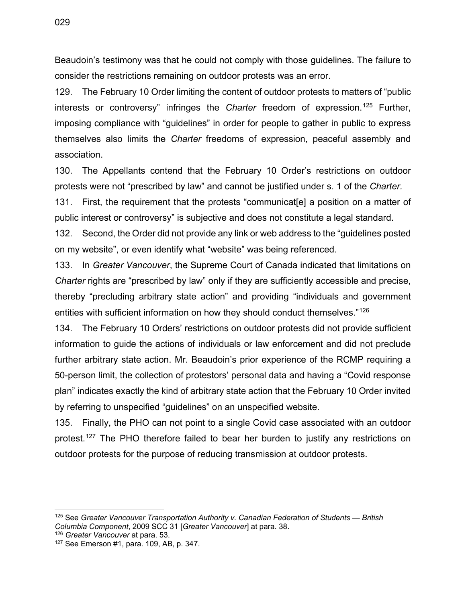Beaudoin's testimony was that he could not comply with those guidelines. The failure to consider the restrictions remaining on outdoor protests was an error.

129. The February 10 Order limiting the content of outdoor protests to matters of "public interests or controversy" infringes the *Charter* freedom of expression.[125](#page-35-0) Further, imposing compliance with "guidelines" in order for people to gather in public to express themselves also limits the *Charter* freedoms of expression, peaceful assembly and association.

130. The Appellants contend that the February 10 Order's restrictions on outdoor protests were not "prescribed by law" and cannot be justified under s. 1 of the *Charter.*

131. First, the requirement that the protests "communicat[e] a position on a matter of public interest or controversy" is subjective and does not constitute a legal standard.

132. Second, the Order did not provide any link or web address to the "guidelines posted on my website", or even identify what "website" was being referenced.

133. In *Greater Vancouver*, the Supreme Court of Canada indicated that limitations on *Charter* rights are "prescribed by law" only if they are sufficiently accessible and precise, thereby "precluding arbitrary state action" and providing "individuals and government entities with sufficient information on how they should conduct themselves."[126](#page-35-1)

134. The February 10 Orders' restrictions on outdoor protests did not provide sufficient information to guide the actions of individuals or law enforcement and did not preclude further arbitrary state action. Mr. Beaudoin's prior experience of the RCMP requiring a 50-person limit, the collection of protestors' personal data and having a "Covid response plan" indicates exactly the kind of arbitrary state action that the February 10 Order invited by referring to unspecified "guidelines" on an unspecified website.

135. Finally, the PHO can not point to a single Covid case associated with an outdoor protest.<sup>127</sup> The PHO therefore failed to bear her burden to justify any restrictions on outdoor protests for the purpose of reducing transmission at outdoor protests.

<span id="page-35-0"></span><sup>125</sup> See *Greater Vancouver Transportation Authority v. Canadian Federation of Students — British Columbia Component*, 2009 SCC 31 [*Greater Vancouver*] at para. 38.

<span id="page-35-1"></span>

<span id="page-35-2"></span><sup>&</sup>lt;sup>127</sup> See Emerson #1, para. 109, AB, p. 347.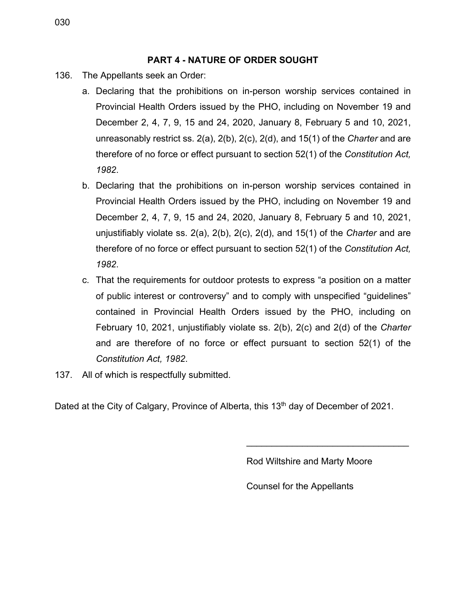#### **PART 4 - NATURE OF ORDER SOUGHT**

- <span id="page-36-0"></span>136. The Appellants seek an Order:
	- a. Declaring that the prohibitions on in-person worship services contained in Provincial Health Orders issued by the PHO, including on November 19 and December 2, 4, 7, 9, 15 and 24, 2020, January 8, February 5 and 10, 2021, unreasonably restrict ss. 2(a), 2(b), 2(c), 2(d), and 15(1) of the *Charter* and are therefore of no force or effect pursuant to section 52(1) of the *Constitution Act, 1982*.
	- b. Declaring that the prohibitions on in-person worship services contained in Provincial Health Orders issued by the PHO, including on November 19 and December 2, 4, 7, 9, 15 and 24, 2020, January 8, February 5 and 10, 2021, unjustifiably violate ss. 2(a), 2(b), 2(c), 2(d), and 15(1) of the *Charter* and are therefore of no force or effect pursuant to section 52(1) of the *Constitution Act, 1982*.
	- c. That the requirements for outdoor protests to express "a position on a matter of public interest or controversy" and to comply with unspecified "guidelines" contained in Provincial Health Orders issued by the PHO, including on February 10, 2021, unjustifiably violate ss. 2(b), 2(c) and 2(d) of the *Charter* and are therefore of no force or effect pursuant to section 52(1) of the *Constitution Act, 1982*.
- 137. All of which is respectfully submitted.

Dated at the City of Calgary, Province of Alberta, this 13<sup>th</sup> day of December of 2021.

Rod Wiltshire and Marty Moore

\_\_\_\_\_\_\_\_\_\_\_\_\_\_\_\_\_\_\_\_\_\_\_\_\_\_\_\_\_\_\_\_

Counsel for the Appellants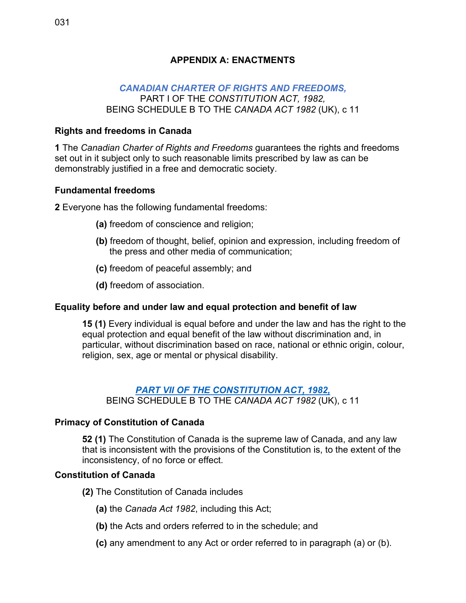#### <span id="page-37-0"></span>*[CANADIAN CHARTER OF RIGHTS AND FREEDOMS,](https://laws-lois.justice.gc.ca/eng/const/page-12.html)*  PART I OF THE *CONSTITUTION ACT, 1982,*  BEING SCHEDULE B TO THE *CANADA ACT 1982* (UK), c 11

## **Rights and freedoms in Canada**

**1** The *Canadian Charter of Rights and Freedoms* guarantees the rights and freedoms set out in it subject only to such reasonable limits prescribed by law as can be demonstrably justified in a free and democratic society.

## **Fundamental freedoms**

**2** Everyone has the following fundamental freedoms:

- **(a)** freedom of conscience and religion;
- **(b)** freedom of thought, belief, opinion and expression, including freedom of the press and other media of communication;
- **(c)** freedom of peaceful assembly; and
- **(d)** freedom of association.

## **Equality before and under law and equal protection and benefit of law**

**15 (1)** Every individual is equal before and under the law and has the right to the equal protection and equal benefit of the law without discrimination and, in particular, without discrimination based on race, national or ethnic origin, colour, religion, sex, age or mental or physical disability.

## *[PART VII OF THE CONSTITUTION ACT,](https://laws-lois.justice.gc.ca/eng/const/page-13.html#docCont) 1982,*

BEING SCHEDULE B TO THE *CANADA ACT 1982* (UK), c 11

## **Primacy of Constitution of Canada**

**52 (1)** The Constitution of Canada is the supreme law of Canada, and any law that is inconsistent with the provisions of the Constitution is, to the extent of the inconsistency, of no force or effect.

#### **Constitution of Canada**

- **(2)** The Constitution of Canada includes
	- **(a)** the *Canada Act 1982*, including this Act;
	- **(b)** the Acts and orders referred to in the schedule; and
	- **(c)** any amendment to any Act or order referred to in paragraph (a) or (b).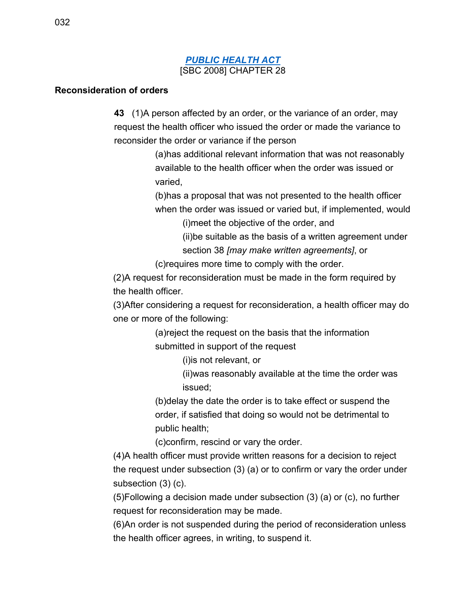#### *[PUBLIC HEALTH ACT](https://www.bclaws.gov.bc.ca/civix/document/id/complete/statreg/08028_01#section43)* [SBC 2008] CHAPTER 28

#### **Reconsideration of orders**

**43** (1)A person affected by an order, or the variance of an order, may request the health officer who issued the order or made the variance to reconsider the order or variance if the person

> (a)has additional relevant information that was not reasonably available to the health officer when the order was issued or varied,

(b)has a proposal that was not presented to the health officer when the order was issued or varied but, if implemented, would

(i)meet the objective of the order, and

(ii)be suitable as the basis of a written agreement under section 38 *[may make written agreements]*, or

(c)requires more time to comply with the order.

(2)A request for reconsideration must be made in the form required by the health officer.

(3)After considering a request for reconsideration, a health officer may do one or more of the following:

> (a)reject the request on the basis that the information submitted in support of the request

> > (i)is not relevant, or

(ii)was reasonably available at the time the order was issued;

(b)delay the date the order is to take effect or suspend the order, if satisfied that doing so would not be detrimental to public health;

(c)confirm, rescind or vary the order.

(4)A health officer must provide written reasons for a decision to reject the request under subsection (3) (a) or to confirm or vary the order under subsection (3) (c).

(5)Following a decision made under subsection (3) (a) or (c), no further request for reconsideration may be made.

(6)An order is not suspended during the period of reconsideration unless the health officer agrees, in writing, to suspend it.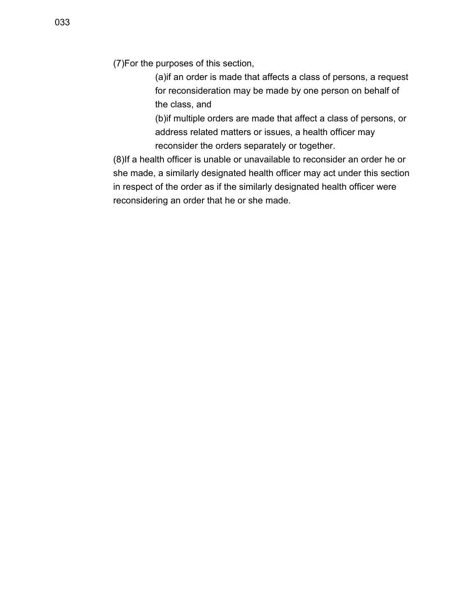(7)For the purposes of this section,

(a)if an order is made that affects a class of persons, a request for reconsideration may be made by one person on behalf of the class, and

(b)if multiple orders are made that affect a class of persons, or address related matters or issues, a health officer may reconsider the orders separately or together.

(8)If a health officer is unable or unavailable to reconsider an order he or she made, a similarly designated health officer may act under this section in respect of the order as if the similarly designated health officer were reconsidering an order that he or she made.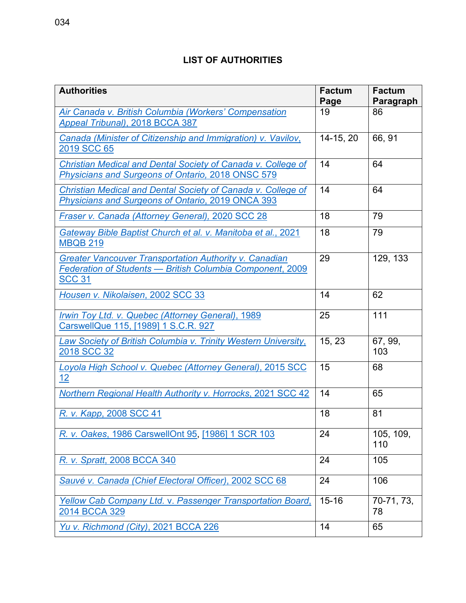## **LIST OF AUTHORITIES**

<span id="page-40-0"></span>

| <b>Authorities</b>                                                                                                                          | <b>Factum</b><br>Page | <b>Factum</b><br>Paragraph |
|---------------------------------------------------------------------------------------------------------------------------------------------|-----------------------|----------------------------|
| Air Canada v. British Columbia (Workers' Compensation<br>Appeal Tribunal), 2018 BCCA 387                                                    | 19                    | 86                         |
| Canada (Minister of Citizenship and Immigration) v. Vavilov,<br>2019 SCC 65                                                                 | 14-15, 20             | 66, 91                     |
| Christian Medical and Dental Society of Canada v. College of<br><b>Physicians and Surgeons of Ontario, 2018 ONSC 579</b>                    | 14                    | 64                         |
| Christian Medical and Dental Society of Canada v. College of<br>Physicians and Surgeons of Ontario, 2019 ONCA 393                           | 14                    | 64                         |
| Fraser v. Canada (Attorney General), 2020 SCC 28                                                                                            | 18                    | 79                         |
| Gateway Bible Baptist Church et al. v. Manitoba et al., 2021<br><b>MBQB 219</b>                                                             | 18                    | 79                         |
| <b>Greater Vancouver Transportation Authority v. Canadian</b><br>Federation of Students - British Columbia Component, 2009<br><b>SCC 31</b> | 29                    | 129, 133                   |
| Housen v. Nikolaisen, 2002 SCC 33                                                                                                           | 14                    | 62                         |
| Irwin Toy Ltd. v. Quebec (Attorney General), 1989<br>CarswellQue 115, [1989] 1 S.C.R. 927                                                   | 25                    | 111                        |
| Law Society of British Columbia v. Trinity Western University,<br>2018 SCC 32                                                               | 15, 23                | 67, 99,<br>103             |
| Loyola High School v. Quebec (Attorney General), 2015 SCC<br>12 <sub>2</sub>                                                                | 15                    | 68                         |
| Northern Regional Health Authority v. Horrocks, 2021 SCC 42                                                                                 | 14                    | 65                         |
| R. v. Kapp, 2008 SCC 41                                                                                                                     | 18                    | 81                         |
| R. v. Oakes, 1986 CarswellOnt 95, [1986] 1 SCR 103                                                                                          | 24                    | 105, 109,<br>110           |
| R. v. Spratt, 2008 BCCA 340                                                                                                                 | 24                    | 105                        |
| Sauvé v. Canada (Chief Electoral Officer), 2002 SCC 68                                                                                      | 24                    | 106                        |
| Yellow Cab Company Ltd. v. Passenger Transportation Board,<br>2014 BCCA 329                                                                 | $15 - 16$             | 70-71, 73,<br>78           |
| Yu v. Richmond (City), 2021 BCCA 226                                                                                                        | 14                    | 65                         |